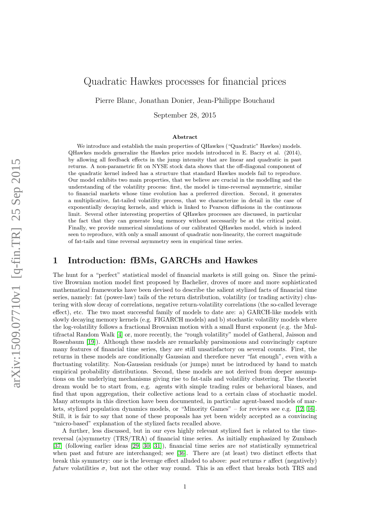# Quadratic Hawkes processes for financial prices

Pierre Blanc, Jonathan Donier, Jean-Philippe Bouchaud

September 28, 2015

#### Abstract

We introduce and establish the main properties of QHawkes ("Quadratic" Hawkes) models. QHawkes models generalize the Hawkes price models introduced in E. Bacry et al. (2014), by allowing all feedback effects in the jump intensity that are linear and quadratic in past returns. A non-parametric fit on NYSE stock data shows that the off-diagonal component of the quadratic kernel indeed has a structure that standard Hawkes models fail to reproduce. Our model exhibits two main properties, that we believe are crucial in the modelling and the understanding of the volatility process: first, the model is time-reversal asymmetric, similar to financial markets whose time evolution has a preferred direction. Second, it generates a multiplicative, fat-tailed volatility process, that we characterize in detail in the case of exponentially decaying kernels, and which is linked to Pearson diffusions in the continuous limit. Several other interesting properties of QHawkes processes are discussed, in particular the fact that they can generate long memory without necessarily be at the critical point. Finally, we provide numerical simulations of our calibrated QHawkes model, which is indeed seen to reproduce, with only a small amount of quadratic non-linearity, the correct magnitude of fat-tails and time reversal asymmetry seen in empirical time series.

## 1 Introduction: fBMs, GARCHs and Hawkes

The hunt for a "perfect" statistical model of financial markets is still going on. Since the primitive Brownian motion model first proposed by Bachelier, droves of more and more sophisticated mathematical frameworks have been devised to describe the salient stylized facts of financial time series, namely: fat (power-law) tails of the return distribution, volatility (or trading activity) clustering with slow decay of correlations, negative return-volatility correlations (the so-called leverage effect), etc. The two most successful family of models to date are: a) GARCH-like models with slowly decaying memory kernels (e.g. FIGARCH models) and b) stochastic volatility models where the log-volatility follows a fractional Brownian motion with a small Hurst exponent (e.g. the Multifractal Random Walk [\[4\]](#page-19-0) or, more recently, the "rough volatility" model of Gatheral, Jaisson and Rosenbaum [\[19\]](#page-20-0)). Although these models are remarkably parsimonious and convincingly capture many features of financial time series, they are still unsatisfactory on several counts. First, the returns in these models are conditionally Gaussian and therefore never "fat enough", even with a fluctuating volatility. Non-Gaussian residuals (or jumps) must be introduced by hand to match empirical probability distributions. Second, these models are not derived from deeper assumptions on the underlying mechanisms giving rise to fat-tails and volatility clustering. The theorist dream would be to start from, e.g. agents with simple trading rules or behavioral biases, and find that upon aggregation, their collective actions lead to a certain class of stochastic model. Many attempts in this direction have been documented, in particular agent-based models of markets, stylized population dynamics models, or "Minority Games" – for reviews see e.g. [\[12,](#page-19-1) [16\]](#page-20-1). Still, it is fair to say that none of these proposals has yet been widely accepted as a convincing "micro-based" explanation of the stylized facts recalled above.

A further, less discussed, but in our eyes highly relevant stylized fact is related to the timereversal (a)symmetry (TRS/TRA) of financial time series. As initially emphasized by Zumbach [\[37\]](#page-20-2) (following earlier ideas [\[29,](#page-20-3) [30,](#page-20-4) [31\]](#page-20-5)), financial time series are not statistically symmetrical when past and future are interchanged; see [\[36\]](#page-20-6). There are (at least) two distinct effects that break this symmetry: one is the leverage effect alluded to above: past returns r affect (negatively) future volatilities  $\sigma$ , but not the other way round. This is an effect that breaks both TRS and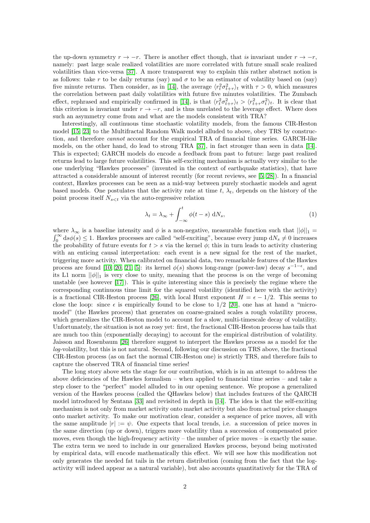the up-down symmetry  $r \to -r$ . There is another effect though, that is invariant under  $r \to -r$ , namely: past large scale realized volatilities are more correlated with future small scale realized volatilities than vice-versa [\[37\]](#page-20-2). A more transparent way to explain this rather abstract notion is as follows: take r to be daily returns (say) and  $\sigma$  to be an estimator of volatility based on (say) five minute returns. Then consider, as in [\[14\]](#page-19-2), the average  $\langle r_t^2 \sigma_{t+\tau}^2 \rangle_t$  with  $\tau > 0$ , which measures the correlation between past daily volatilities with future five minutes volatilities. The Zumbach effect, rephrased and empirically confirmed in [\[14\]](#page-19-2), is that  $\langle r_t^2 \sigma_{t+\tau}^2 \rangle_t > \langle r_{t+\tau}^2 \sigma_t^2 \rangle_t$ . It is clear that this criterion is invariant under  $r \to -r$ , and is thus unrelated to the leverage effect. Where does such an asymmetry come from and what are the models consistent with TRA?

Interestingly, all continuous time stochastic volatility models, from the famous CIR-Heston model [\[15,](#page-20-7) [23\]](#page-20-8) to the Multifractal Random Walk model alluded to above, obey TRS by construction, and therefore cannot account for the empirical TRA of financial time series. GARCH-like models, on the other hand, do lead to strong TRA [\[37\]](#page-20-2), in fact stronger than seen in data [\[14\]](#page-19-2). This is expected; GARCH models do encode a feedback from past to future: large past realized returns lead to large future volatilities. This self-exciting mechanism is actually very similar to the one underlying "Hawkes processes" (invented in the context of earthquake statistics), that have attracted a considerable amount of interest recently (for recent reviews, see [\[5,](#page-19-3) [28\]](#page-20-9)). In a financial context, Hawkes processes can be seen as a mid-way between purely stochastic models and agent based models. One postulates that the activity rate at time t,  $\lambda_t$ , depends on the history of the point process itself  $N_{s < t}$  via the auto-regressive relation

<span id="page-1-0"></span>
$$
\lambda_t = \lambda_\infty + \int_{-\infty}^t \phi(t - s) \, \mathrm{d}N_s,\tag{1}
$$

where  $\lambda_{\infty}$  is a baseline intensity and  $\phi$  is a non-negative, measurable function such that  $||\phi||_1 = \int_0^{\infty} ds \phi(s) \le 1$ . Hawkes processes are called "self-exciting", because every jump  $dN_s \ne 0$  increases the probability of future events for  $t > s$  via the kernel  $\phi$ ; this in turn leads to activity clustering with an enticing causal interpretation: each event is a new signal for the rest of the market, triggering more activity. When calibrated on financial data, two remarkable features of the Hawkes process are found [\[10,](#page-19-4) [20,](#page-20-10) [21,](#page-20-11) [5\]](#page-19-3): its kernel  $\phi(s)$  shows long-range (power-law) decay  $s^{-1-\epsilon}$ , and its L1 norm  $||\phi||_1$  is very close to unity, meaning that the process is on the verge of becoming unstable (see however [\[17\]](#page-20-12)). This is quite interesting since this is precisely the regime where the corresponding continuous time limit for the squared volatility (identified here with the activity) is a fractional CIR-Heston process [\[26\]](#page-20-13), with local Hurst exponent  $H = \epsilon - 1/2$ . This seems to close the loop: since  $\epsilon$  is empirically found to be close to 1/2 [\[20\]](#page-20-10), one has at hand a "micromodel" (the Hawkes process) that generates on coarse-grained scales a rough volatility process, which generalizes the CIR-Heston model to account for a slow, multi-timescale decay of volatility. Unfortunately, the situation is not as rosy yet: first, the fractional CIR-Heston process has tails that are much too thin (exponentially decaying) to account for the empirical distribution of volatility. Jaisson and Rosenbaum [\[26\]](#page-20-13) therefore suggest to interpret the Hawkes process as a model for the log-volatility, but this is not natural. Second, following our discussion on TRS above, the fractional CIR-Heston process (as on fact the normal CIR-Heston one) is strictly TRS, and therefore fails to capture the observed TRA of financial time series!

The long story above sets the stage for our contribution, which is in an attempt to address the above deficiencies of the Hawkes formalism – when applied to financial time series – and take a step closer to the "perfect" model alluded to in our opening sentence. We propose a generalized version of the Hawkes process (called the QHawkes below) that includes features of the QARCH model introduced by Sentana [\[33\]](#page-20-14) and revisited in depth in [\[14\]](#page-19-2). The idea is that the self-exciting mechanism is not only from market activity onto market activity but also from actual price changes onto market activity. To make our motivation clear, consider a sequence of price moves, all with the same amplitude  $|r| := \psi$ . One expects that local trends, i.e. a succession of price moves in the same direction (up or down), triggers more volatility than a succession of compensated price moves, even though the high-frequency activity – the number of price moves – is exactly the same. The extra term we need to include in our generalized Hawkes process, beyond being motivated by empirical data, will encode mathematically this effect. We will see how this modification not only generates the needed fat tails in the return distribution (coming from the fact that the logactivity will indeed appear as a natural variable), but also accounts quantitatively for the TRA of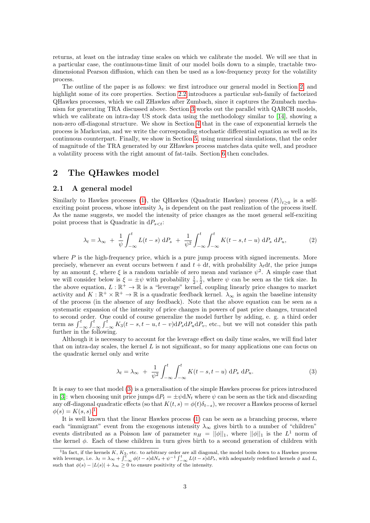returns, at least on the intraday time scales on which we calibrate the model. We will see that in a particular case, the continuous-time limit of our model boils down to a simple, tractable twodimensional Pearson diffusion, which can then be used as a low-frequency proxy for the volatility process.

The outline of the paper is as follows: we first introduce our general model in Section [2,](#page-2-0) and highlight some of its core properties. Section [2.2](#page-3-0) introduces a particular sub-family of factorized QHawkes processes, which we call ZHawkes after Zumbach, since it captures the Zumbach mechanism for generating TRA discussed above. Section [3](#page-7-0) works out the parallel with QARCH models, which we calibrate on intra-day US stock data using the methodology similar to [\[14\]](#page-19-2), showing a non-zero off-diagonal structure. We show in Section [4](#page-11-0) that in the case of exponential kernels the process is Markovian, and we write the corresponding stochastic differential equation as well as its continuous counterpart. Finally, we show in Section [5,](#page-15-0) using numerical simulations, that the order of magnitude of the TRA generated by our ZHawkes process matches data quite well, and produce a volatility process with the right amount of fat-tails. Section [6](#page-17-0) then concludes.

# <span id="page-2-0"></span>2 The QHawkes model

### 2.1 A general model

Similarly to Hawkes processes [\(1\)](#page-1-0), the QHawkes (Quadratic Hawkes) process  $(P_t)_{t\geq 0}$  is a selfexciting point process, whose intensity  $\lambda_t$  is dependent on the past realization of the process itself. As the name suggests, we model the intensity of price changes as the most general self-exciting point process that is Quadratic in  $dP_{s:$ 

<span id="page-2-3"></span>
$$
\lambda_t = \lambda_\infty + \frac{1}{\psi} \int_{-\infty}^t L(t-s) \, \mathrm{d}P_s + \frac{1}{\psi^2} \int_{-\infty}^t \int_{-\infty}^t K(t-s, t-u) \, \mathrm{d}P_s \, \mathrm{d}P_u,\tag{2}
$$

where  $P$  is the high-frequency price, which is a pure jump process with signed increments. More precisely, whenever an event occurs between t and  $t + dt$ , with probability  $\lambda_t dt$ , the price jumps by an amount  $\xi$ , where  $\xi$  is a random variable of zero mean and variance  $\psi^2$ . A simple case that we will consider below is  $\xi = \pm \psi$  with probability  $\frac{1}{2}, \frac{1}{2}$ , where  $\psi$  can be seen as the tick size. In the above equation,  $L: \mathbb{R}^+ \to \mathbb{R}$  is a "leverage" kernel, coupling linearly price changes to market activity and  $K: \mathbb{R}^+ \times \mathbb{R}^+ \to \mathbb{R}$  is a quadratic feedback kernel.  $\lambda_{\infty}$  is again the baseline intensity of the process (in the absence of any feedback). Note that the above equation can be seen as a systematic expansion of the intensity of price changes in powers of past price changes, truncated to second order. One could of course generalize the model further by adding, e. g. a third order term as  $\int_{-\infty}^{t} \int_{-\infty}^{t} \int_{-\infty}^{t} K_3(t-s,t-u,t-v) dP_s dP_u dP_v$ , etc., but we will not consider this path further in the following.

Although it is necessary to account for the leverage effect on daily time scales, we will find later that on intra-day scales, the kernel  $L$  is not significant, so for many applications one can focus on the quadratic kernel only and write

<span id="page-2-1"></span>
$$
\lambda_t = \lambda_\infty + \frac{1}{\psi^2} \int_{-\infty}^t \int_{-\infty}^t K(t - s, t - u) \, dP_s \, dP_u. \tag{3}
$$

It is easy to see that model [\(3\)](#page-2-1) is a generalisation of the simple Hawkes process for prices introduced in [\[3\]](#page-19-5): when choosing unit price jumps  $dP_t = \pm \psi dN_t$  where  $\psi$  can be seen as the tick and discarding any off-diagonal quadratic effects (so that  $K(t, s) = \phi(t)\delta_{t-s}$ ), we recover a Hawkes process of kernel  $\phi(s) = K(s, s).$ <sup>[1](#page-2-2)</sup>

It is well known that the linear Hawkes process [\(1\)](#page-1-0) can be seen as a branching process, where each "immigrant" event from the exogenous intensity  $\lambda_{\infty}$  gives birth to a number of "children" events distributed as a Poisson law of parameter  $n_H = ||\phi||_1$ , where  $||\phi||_1$  is the  $L^1$  norm of the kernel  $\phi$ . Each of these children in turn gives birth to a second generation of children with

<span id="page-2-2"></span><sup>&</sup>lt;sup>1</sup>In fact, if the kernels  $K$ ,  $K_3$ , etc. to arbitrary order are all diagonal, the model boils down to a Hawkes process with leverage, i.e.  $\lambda_t = \lambda_\infty + \int_{-\infty}^t \phi(t-s) dN_s + \psi^{-1} \int_{-\infty}^t L(t-s) dP_s$ , with adequately redefined kernels  $\phi$  and L, such that  $\phi(s) - |L(s)| + \lambda_{\infty} \geq 0$  to ensure positivity of the intensity.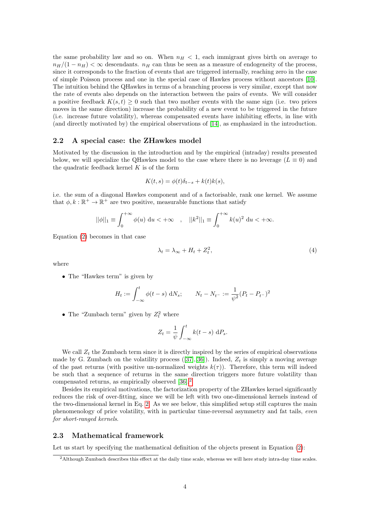the same probability law and so on. When  $n_H < 1$ , each immigrant gives birth on average to  $n_H/(1 - n_H) < \infty$  descendants.  $n_H$  can thus be seen as a measure of endogeneity of the process, since it corresponds to the fraction of events that are triggered internally, reaching zero in the case of simple Poisson process and one in the special case of Hawkes process without ancestors [\[10\]](#page-19-4). The intuition behind the QHawkes in terms of a branching process is very similar, except that now the rate of events also depends on the interaction between the pairs of events. We will consider a positive feedback  $K(s, t) \geq 0$  such that two mother events with the same sign (i.e. two prices moves in the same direction) increase the probability of a new event to be triggered in the future (i.e. increase future volatility), whereas compensated events have inhibiting effects, in line with (and directly motivated by) the empirical observations of [\[14\]](#page-19-2), as emphasized in the introduction.

### <span id="page-3-0"></span>2.2 A special case: the ZHawkes model

Motivated by the discussion in the introduction and by the empirical (intraday) results presented below, we will specialize the QHawkes model to the case where there is no leverage ( $L \equiv 0$ ) and the quadratic feedback kernel  $K$  is of the form

<span id="page-3-3"></span>
$$
K(t,s) = \phi(t)\delta_{t-s} + k(t)k(s),
$$

i.e. the sum of a diagonal Hawkes component and of a factorisable, rank one kernel. We assume that  $\phi, k : \mathbb{R}^+ \to \mathbb{R}^+$  are two positive, measurable functions that satisfy

$$
||\phi||_1 \equiv \int_0^{+\infty} \phi(u) \, \mathrm{d}u < +\infty \quad , \quad ||k^2||_1 \equiv \int_0^{+\infty} k(u)^2 \, \mathrm{d}u < +\infty.
$$

Equation [\(2\)](#page-2-3) becomes in that case

$$
\lambda_t = \lambda_\infty + H_t + Z_t^2,\tag{4}
$$

where

• The "Hawkes term" is given by

<span id="page-3-2"></span>
$$
H_t := \int_{-\infty}^t \phi(t - s) \, dN_s; \qquad N_t - N_{t-} := \frac{1}{\psi^2} (P_t - P_{t-})^2
$$

• The "Zumbach term" given by  $Z_t^2$  where

$$
Z_t = \frac{1}{\psi} \int_{-\infty}^t k(t - s) \, dP_s.
$$

We call  $Z_t$  the Zumbach term since it is directly inspired by the series of empirical observations madeby G. Zumbach on the volatility process  $([37],[36])$  $([37],[36])$  $([37],[36])$  $([37],[36])$  $([37],[36])$ . Indeed,  $Z_t$  is simply a moving average of the past returns (with positive un-normalized weights  $k(\tau)$ ). Therefore, this term will indeed be such that a sequence of returns in the same direction triggers more future volatility than compensated returns, as empirically observed [\[36\]](#page-20-6).[2](#page-3-1)

Besides its empirical motivations, the factorization property of the ZHawkes kernel significantly reduces the risk of over-fitting, since we will be left with two one-dimensional kernels instead of the two-dimensional kernel in Eq. [2.](#page-2-3) As we see below, this simplified setup still captures the main phenomenology of price volatility, with in particular time-reversal asymmetry and fat tails, even for short-ranged kernels.

### 2.3 Mathematical framework

Let us start by specifying the mathematical definition of the objects present in Equation [\(2\)](#page-2-3):

<span id="page-3-1"></span><sup>2</sup>Although Zumbach describes this effect at the daily time scale, whereas we will here study intra-day time scales.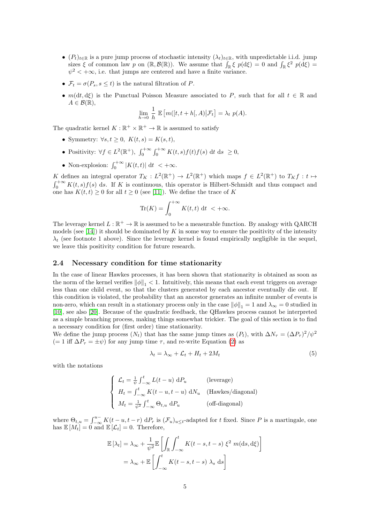- $(P_t)_{t \in \mathbb{R}}$  is a pure jump process of stochastic intensity  $(\lambda_t)_{t \in \mathbb{R}}$ , with unpredictable i.i.d. jump sizes  $\xi$  of common law p on  $(\mathbb{R}, \mathcal{B}(\mathbb{R}))$ . We assume that  $\int_{\mathbb{R}} \xi p(d\xi) = 0$  and  $\int_{\mathbb{R}} \xi^2 p(d\xi) =$  $\psi^2 < +\infty$ , i.e. that jumps are centered and have a finite variance.
- $\mathcal{F}_t = \sigma(P_s, s \leq t)$  is the natural filtration of P.
- $m(dt, d\xi)$  is the Punctual Poisson Measure associated to P, such that for all  $t \in \mathbb{R}$  and  $A \in \mathcal{B}(\mathbb{R}),$

$$
\lim_{h \to 0} \frac{1}{h} \mathbb{E}\left[m([t, t+h[, A)]\mathcal{F}_t\right] = \lambda_t \ p(A).
$$

The quadratic kernel  $K : \mathbb{R}^+ \times \mathbb{R}^+ \to \mathbb{R}$  is assumed to satisfy

- Symmetry:  $\forall s, t \geq 0, K(t, s) = K(s, t),$
- Positivity:  $\forall f \in L^2(\mathbb{R}^+), \int_0^{+\infty} \int_0^{+\infty} K(t,s)f(t)f(s) \, \mathrm{d}t \, \mathrm{d}s \geq 0,$
- Non-explosion:  $\int_0^{+\infty} |K(t,t)| dt < +\infty$ .

K defines an integral operator  $T_K : L^2(\mathbb{R}^+) \to L^2(\mathbb{R}^+)$  which maps  $f \in L^2(\mathbb{R}^+)$  to  $T_K f : t \mapsto$  $\int_0^{+\infty} K(t,s)f(s)$  ds. If K is continuous, this operator is Hilbert-Schmidt and thus compact and one has  $K(t, t) \geq 0$  for all  $t \geq 0$  (see [\[11\]](#page-19-6)). We define the trace of K

$$
\operatorname{Tr}(K) = \int_0^{+\infty} K(t, t) \, \mathrm{d}t \, < +\infty.
$$

The leverage kernel  $L : \mathbb{R}^+ \to \mathbb{R}$  is assumed to be a measurable function. By analogy with QARCH models (see [\[14\]](#page-19-2)) it should be dominated by K in some way to ensure the positivity of the intensity  $\lambda_t$  (see footnote 1 above). Since the leverage kernel is found empirically negligible in the sequel, we leave this positivity condition for future research.

### 2.4 Necessary condition for time stationarity

In the case of linear Hawkes processes, it has been shown that stationarity is obtained as soon as the norm of the kernel verifies  $\|\phi\|_{1} < 1$ . Intuitively, this means that each event triggers on average less than one child event, so that the clusters generated by each ancestor eventually die out. If this condition is violated, the probability that an ancestor generates an infinite number of events is non-zero, which can result in a stationary process only in the case  $\|\phi\|_1 = 1$  and  $\lambda_{\infty} = 0$  studied in [\[10\]](#page-19-4), see also [\[20\]](#page-20-10). Because of the quadratic feedback, the QHawkes process cannot be interpreted as a simple branching process, making things somewhat trickier. The goal of this section is to find a necessary condition for (first order) time stationarity.

We define the jump process  $(N_t)$  that has the same jump times as  $(P_t)$ , with  $\Delta N_\tau = (\Delta P_\tau)^2 / \psi^2$ (= 1 iff  $\Delta P_{\tau} = \pm \psi$ ) for any jump time  $\tau$ , and re-write Equation [\(2\)](#page-2-3) as

$$
\lambda_t = \lambda_\infty + \mathcal{L}_t + H_t + 2M_t \tag{5}
$$

with the notations

$$
\begin{cases}\n\mathcal{L}_t = \frac{1}{\psi} \int_{-\infty}^t L(t - u) \, dP_u \quad \text{(leverage)} \\
H_t = \int_{-\infty}^t K(t - u, t - u) \, dN_u \quad \text{(Hawkes/diagonal)} \\
M_t = \frac{1}{\psi^2} \int_{-\infty}^t \Theta_{t, u} \, dP_u \quad \text{(off-diagonal)}\n\end{cases}
$$

where  $\Theta_{t,u} = \int_{-\infty}^{u-} K(t-u,t-r) dP_r$  is  $(\mathcal{F}_u)_{u \leq t}$ -adapted for t fixed. Since P is a martingale, one has  $\mathbb{E}[M_t] = 0$  and  $\mathbb{E}[\mathcal{L}_t] = 0$ . Therefore,

$$
\mathbb{E}[\lambda_t] = \lambda_{\infty} + \frac{1}{\psi^2} \mathbb{E} \left[ \int_{\mathbb{R}} \int_{-\infty}^t K(t - s, t - s) \xi^2 m(ds, d\xi) \right]
$$

$$
= \lambda_{\infty} + \mathbb{E} \left[ \int_{-\infty}^t K(t - s, t - s) \lambda_s ds \right]
$$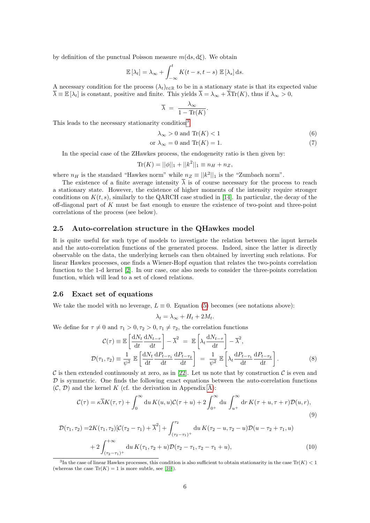by definition of the punctual Poisson measure  $m(ds, d\xi)$ . We obtain

$$
\mathbb{E}[\lambda_t] = \lambda_{\infty} + \int_{-\infty}^t K(t-s, t-s) \mathbb{E}[\lambda_s] ds.
$$

A necessary condition for the process  $(\lambda_t)_{t\in\mathbb{R}}$  to be in a stationary state is that its expected value  $\overline{\lambda} \equiv \mathbb{E}[\lambda_t]$  is constant, positive and finite. This yields  $\overline{\lambda} = \lambda_{\infty} + \overline{\lambda} \text{Tr}(K)$ , thus if  $\lambda_{\infty} > 0$ ,

$$
\overline{\lambda} = \frac{\lambda_{\infty}}{1 - \text{Tr}(K)}.
$$

This leads to the necessary stationarity condition<sup>[3](#page-5-0)</sup>

$$
\lambda_{\infty} > 0 \text{ and } \text{Tr}(K) < 1 \tag{6}
$$

$$
\text{or } \lambda_{\infty} = 0 \text{ and } \text{Tr}(K) = 1. \tag{7}
$$

In the special case of the ZHawkes process, the endogeneity ratio is then given by:

$$
\text{Tr}(K) = ||\phi||_1 + ||k^2||_1 \equiv n_H + n_Z,
$$

where  $n_H$  is the standard "Hawkes norm" while  $n_Z \equiv ||k^2||_1$  is the "Zumbach norm".

The existence of a finite average intensity  $\overline{\lambda}$  is of course necessary for the process to reach a stationary state. However, the existence of higher moments of the intensity require stronger conditions on  $K(t, s)$ , similarly to the QARCH case studied in [\[14\]](#page-19-2). In particular, the decay of the off-diagonal part of  $K$  must be fast enough to ensure the existence of two-point and three-point correlations of the process (see below).

## 2.5 Auto-correlation structure in the QHawkes model

It is quite useful for such type of models to investigate the relation between the input kernels and the auto-correlation functions of the generated process. Indeed, since the latter is directly observable on the data, the underlying kernels can then obtained by inverting such relations. For linear Hawkes processes, one finds a Wiener-Hopf equation that relates the two-points correlation function to the 1-d kernel [\[2\]](#page-19-7). In our case, one also needs to consider the three-points correlation function, which will lead to a set of closed relations.

### 2.6 Exact set of equations

We take the model with no leverage,  $L \equiv 0$ . Equation [\(5\)](#page-3-2) becomes (see notations above):

<span id="page-5-2"></span><span id="page-5-1"></span>
$$
\lambda_t = \lambda_\infty + H_t + 2M_t.
$$

We define for  $\tau \neq 0$  and  $\tau_1 > 0, \tau_2 > 0, \tau_1 \neq \tau_2$ , the correlation functions

$$
\mathcal{C}(\tau) \equiv \mathbb{E}\left[\frac{dN_t}{dt}\frac{dN_{t-\tau}}{dt}\right] - \overline{\lambda}^2 = \mathbb{E}\left[\lambda_t \frac{dN_{t-\tau}}{dt}\right] - \overline{\lambda}^2,
$$
\n
$$
\mathcal{D}(\tau_1, \tau_2) \equiv \frac{1}{\psi^2} \mathbb{E}\left[\frac{dN_t}{dt}\frac{dP_{t-\tau_1}}{dt}\frac{dP_{t-\tau_2}}{dt}\right] = \frac{1}{\psi^2} \mathbb{E}\left[\lambda_t \frac{dP_{t-\tau_1}}{dt}\frac{dP_{t-\tau_2}}{dt}\right].
$$
\n(8)

C is then extended continuously at zero, as in [\[22\]](#page-20-15). Let us note that by construction C is even and  $D$  is symmetric. One finds the following exact equations between the auto-correlation functions  $(C, \mathcal{D})$  and the kernel K (cf. the derivation in Appendix [A\)](#page-21-0):

$$
\mathcal{C}(\tau) = \kappa \overline{\lambda} K(\tau, \tau) + \int_0^\infty du \, K(u, u) \mathcal{C}(\tau + u) + 2 \int_{0^+}^\infty du \, \int_{u^+}^\infty dr \, K(\tau + u, \tau + r) \mathcal{D}(u, r), \tag{9}
$$

$$
\mathcal{D}(\tau_1, \tau_2) = 2K(\tau_1, \tau_2)[\mathcal{C}(\tau_2 - \tau_1) + \overline{\lambda}^2] + \int_{(\tau_2 - \tau_1)^+}^{\tau_2} du \, K(\tau_2 - u, \tau_2 - u)\mathcal{D}(u - \tau_2 + \tau_1, u) + 2\int_{(\tau_2 - \tau_1)^+}^{+\infty} du \, K(\tau_1, \tau_2 + u)\mathcal{D}(\tau_2 - \tau_1, \tau_2 - \tau_1 + u),
$$
\n(10)

<span id="page-5-0"></span><sup>&</sup>lt;sup>3</sup>In the case of linear Hawkes processes, this condition is also sufficient to obtain stationarity in the case  $Tr(K) < 1$ (whereas the case  $\text{Tr}(K) = 1$  is more subtle, see [\[10\]](#page-19-4)).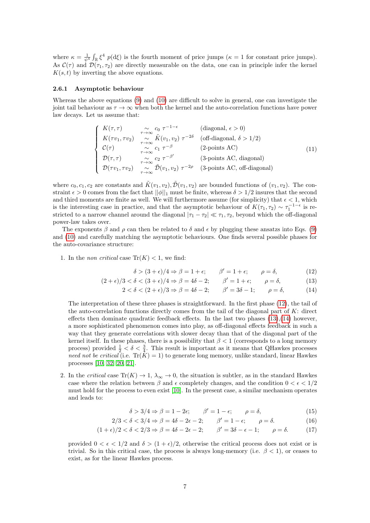where  $\kappa = \frac{1}{\psi^4} \int_{\mathbb{R}} \xi^4 p(d\xi)$  is the fourth moment of price jumps  $(\kappa = 1$  for constant price jumps). As  $\mathcal{C}(\tau)$  and  $\mathcal{D}(\tau_1, \tau_2)$  are directly measurable on the data, one can in principle infer the kernel  $K(s, t)$  by inverting the above equations.

#### 2.6.1 Asymptotic behaviour

Whereas the above equations [\(9\)](#page-5-1) and [\(10\)](#page-5-2) are difficult to solve in general, one can investigate the joint tail behaviour as  $\tau \to \infty$  when both the kernel and the auto-correlation functions have power law decays. Let us assume that:

$$
\begin{cases}\nK(\tau,\tau) & \underset{\tau \to \infty}{\sim} c_0 \ \tau^{-1-\epsilon} & \text{(diagonal, } \epsilon > 0) \\
K(\tau v_1, \tau v_2) & \underset{\tau \to \infty}{\sim} \tilde{K}(v_1, v_2) \ \tau^{-2\delta} & \text{(off-diagonal, } \delta > 1/2) \\
\mathcal{C}(\tau) & \underset{\tau \to \infty}{\sim} c_1 \ \tau^{-\beta} & \text{(2-points AC)} \\
\mathcal{D}(\tau,\tau) & \underset{\tau \to \infty}{\sim} c_2 \ \tau^{-\beta'} & \text{(3-points AC, diagonal)} \\
\mathcal{D}(\tau v_1, \tau v_2) & \underset{\tau \to \infty}{\sim} \tilde{\mathcal{D}}(v_1, v_2) \ \tau^{-2\rho} & \text{(3-points AC, off-diagonal)}\n\end{cases}
$$
\n(11)

where  $c_0, c_1, c_2$  are constants and  $\tilde{K}(v_1, v_2), \tilde{\mathcal{D}}(v_1, v_2)$  are bounded functions of  $(v_1, v_2)$ . The constraint  $\epsilon > 0$  comes from the fact that  $||\phi||_1$  must be finite, whereas  $\delta > 1/2$  insures that the second and third moments are finite as well. We will furthermore assume (for simplicity) that  $\epsilon < 1$ , which is the interesting case in practice, and that the asymptotic behaviour of  $K(\tau_1, \tau_2) \sim \tau_1^{-1-\epsilon}$  is restricted to a narrow channel around the diagonal  $|\tau_1 - \tau_2| \ll \tau_1, \tau_2$ , beyond which the off-diagonal power-law takes over.

The exponents  $\beta$  and  $\rho$  can then be related to  $\delta$  and  $\epsilon$  by plugging these ansatzs into Eqs. [\(9\)](#page-5-1) and [\(10\)](#page-5-2) and carefully matching the asymptotic behaviours. One finds several possible phases for the auto-covariance structure:

1. In the *non critical* case  $\text{Tr}(K) < 1$ , we find:

$$
\delta > (3 + \epsilon)/4 \Rightarrow \beta = 1 + \epsilon; \qquad \beta' = 1 + \epsilon; \qquad \rho = \delta,
$$
 (12)

$$
(2+\epsilon)/3 < \delta < (3+\epsilon)/4 \Rightarrow \beta = 4\delta - 2; \qquad \beta' = 1+\epsilon; \qquad \rho = \delta,
$$
 (13)

<span id="page-6-2"></span><span id="page-6-1"></span><span id="page-6-0"></span>
$$
2 < \delta < (2 + \epsilon)/3 \Rightarrow \beta = 4\delta - 2; \qquad \beta' = 3\delta - 1; \qquad \rho = \delta,
$$
 (14)

The interpretation of these three phases is straightforward. In the first phase [\(12\)](#page-6-0), the tail of the auto-correlation functions directly comes from the tail of the diagonal part of  $K$ : direct effects then dominate quadratic feedback effects. In the last two phases  $(13),(14)$  $(13),(14)$  however, a more sophisticated phenomenon comes into play, as off-diagonal effects feedback in such a way that they generate correlations with slower decay than that of the diagonal part of the kernel itself. In these phases, there is a possibility that  $\beta < 1$  (corresponds to a long memory process) provided  $\frac{1}{2} < \delta < \frac{3}{4}$ . This result is important as it means that QHawkes processes need not be critical (i.e.  $Tr(K) = 1$ ) to generate long memory, unlike standard, linear Hawkes processes [\[10,](#page-19-4) [32,](#page-20-16) [20,](#page-20-10) [21\]](#page-20-11).

2. In the critical case  $\text{Tr}(K) \to 1$ ,  $\lambda_{\infty} \to 0$ , the situation is subtler, as in the standard Hawkes case where the relation between  $\beta$  and  $\epsilon$  completely changes, and the condition  $0 < \epsilon < 1/2$ must hold for the process to even exist [\[10\]](#page-19-4). In the present case, a similar mechanism operates and leads to:

$$
\delta > 3/4 \Rightarrow \beta = 1 - 2\epsilon; \qquad \beta' = 1 - \epsilon; \qquad \rho = \delta,
$$
\n(15)

$$
2/3 < \delta < 3/4 \Rightarrow \beta = 4\delta - 2\epsilon - 2; \qquad \beta' = 1 - \epsilon; \qquad \rho = \delta. \tag{16}
$$

$$
(1+\epsilon)/2 < \delta < 2/3 \Rightarrow \beta = 4\delta - 2\epsilon - 2; \qquad \beta' = 3\delta - \epsilon - 1; \qquad \rho = \delta. \tag{17}
$$

provided  $0 < \epsilon < 1/2$  and  $\delta > (1 + \epsilon)/2$ , otherwise the critical process does not exist or is trivial. So in this critical case, the process is always long-memory (i.e.  $\beta < 1$ ), or ceases to exist, as for the linear Hawkes process.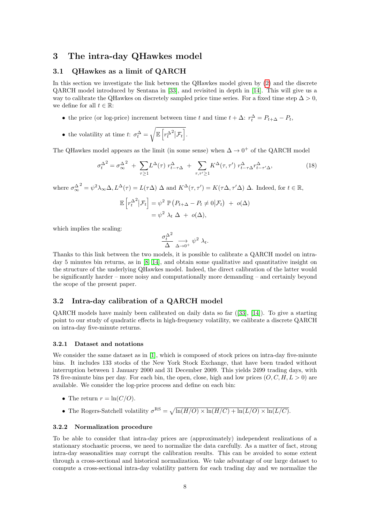## <span id="page-7-0"></span>3 The intra-day QHawkes model

### 3.1 QHawkes as a limit of QARCH

In this section we investigate the link between the QHawkes model given by [\(2\)](#page-2-3) and the discrete QARCH model introduced by Sentana in [\[33\]](#page-20-14), and revisited in depth in [\[14\]](#page-19-2). This will give us a way to calibrate the QHawkes on discretely sampled price time series. For a fixed time step  $\Delta > 0$ , we define for all  $t \in \mathbb{R}$ :

- the price (or log-price) increment between time t and time  $t + \Delta$ :  $r_t^{\Delta} = P_{t+\Delta} P_t$ ,
- the volatility at time  $t$ :  $\sigma_t^{\Delta} = \sqrt{\mathbb{E}\left[r_t^{\Delta}\right]}$  $\bigg[2\big| \mathcal{F}_t\bigg].$

The QHawkes model appears as the limit (in some sense) when  $\Delta \to 0^+$  of the QARCH model

$$
\sigma_t^{\Delta^2} = \sigma_\infty^{\Delta^2} + \sum_{\tau \ge 1} L^\Delta(\tau) r_{t-\tau\Delta}^\Delta + \sum_{\tau,\tau' \ge 1} K^\Delta(\tau,\tau') r_{t-\tau\Delta}^\Delta r_{t-\tau'\Delta}^\Delta,\tag{18}
$$

where  $\sigma_{\infty}^{\Delta}$  $Z^2 = \psi^2 \lambda_{\infty} \Delta, L^{\Delta}(\tau) = L(\tau \Delta) \Delta$  and  $K^{\Delta}(\tau, \tau') = K(\tau \Delta, \tau' \Delta) \Delta$ . Indeed, for  $t \in \mathbb{R}$ ,

$$
\mathbb{E}\left[r_t^{\Delta^2}|\mathcal{F}_t\right] = \psi^2 \mathbb{P}\left(P_{t+\Delta} - P_t \neq 0|\mathcal{F}_t\right) + o(\Delta)
$$

$$
= \psi^2 \lambda_t \Delta + o(\Delta),
$$

which implies the scaling:

$$
\frac{\sigma_t^{\Delta^2}}{\Delta} \underset{\Delta \to 0^+}{\longrightarrow} \psi^2 \lambda_t.
$$

Thanks to this link between the two models, it is possible to calibrate a QARCH model on intraday 5 minutes bin returns, as in [\[8,](#page-19-8) [14\]](#page-19-2), and obtain some qualitative and quantitative insight on the structure of the underlying QHawkes model. Indeed, the direct calibration of the latter would be significantly harder – more noisy and computationally more demanding – and certainly beyond the scope of the present paper.

### <span id="page-7-1"></span>3.2 Intra-day calibration of a QARCH model

QARCH models have mainly been calibrated on daily data so far ([\[33\]](#page-20-14), [\[14\]](#page-19-2)). To give a starting point to our study of quadratic effects in high-frequency volatility, we calibrate a discrete QARCH on intra-day five-minute returns.

#### <span id="page-7-2"></span>3.2.1 Dataset and notations

We consider the same dataset as in [\[1\]](#page-19-9), which is composed of stock prices on intra-day five-minute bins. It includes 133 stocks of the New York Stock Exchange, that have been traded without interruption between 1 January 2000 and 31 December 2009. This yields 2499 trading days, with 78 five-minute bins per day. For each bin, the open, close, high and low prices  $(O, C, H, L > 0)$  are available. We consider the log-price process and define on each bin:

- The return  $r = \ln(C/O)$ .
- The Rogers-Satchell volatility  $\sigma^{RS} = \sqrt{\ln(H/O) \times \ln(H/C) + \ln(L/O) \times \ln(L/C)}$ .

#### 3.2.2 Normalization procedure

To be able to consider that intra-day prices are (approximately) independent realizations of a stationary stochastic process, we need to normalize the data carefully. As a matter of fact, strong intra-day seasonalities may corrupt the calibration results. This can be avoided to some extent through a cross-sectional and historical normalization. We take advantage of our large dataset to compute a cross-sectional intra-day volatility pattern for each trading day and we normalize the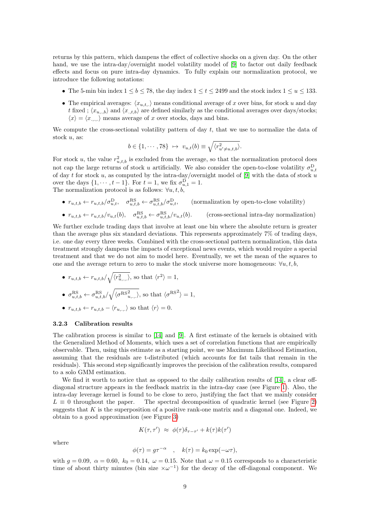returns by this pattern, which dampens the effect of collective shocks on a given day. On the other hand, we use the intra-day/overnight model volatility model of [\[9\]](#page-19-10) to factor out daily feedback effects and focus on pure intra-day dynamics. To fully explain our normalization protocol, we introduce the following notations:

- The 5-min bin index  $1 \leq b \leq 78$ , the day index  $1 \leq t \leq 2499$  and the stock index  $1 \leq u \leq 133$ .
- The empirical averages:  $\langle x_{u,t,\cdot} \rangle$  means conditional average of x over bins, for stock u and day t fixed ;  $\langle x_{u,.,b} \rangle$  and  $\langle x_{.,t,b} \rangle$  are defined similarly as the conditional averages over days/stocks;  $\langle x \rangle = \langle x, \rangle$  means average of x over stocks, days and bins.

We compute the cross-sectional volatility pattern of day  $t$ , that we use to normalize the data of stock  $u$ , as:

$$
b \in \{1, \cdots, 78\} \ \mapsto \ v_{u,t}(b) \equiv \sqrt{\langle r_{u' \neq u,t,b}^2 \rangle}.
$$

For stock u, the value  $r_{u,t,b}^2$  is excluded from the average, so that the normalization protocol does not cap the large returns of stock u artificially. We also consider the open-to-close volatility  $\sigma_{u,t}^{\text{D}}$ of day t for stock u, as computed by the intra-day/overnight model of [\[9\]](#page-19-10) with the data of stock u over the days  $\{1, \dots, t-1\}$ . For  $t = 1$ , we fix  $\sigma_{u,1}^D = 1$ . The normalization protocol is as follows:  $\forall u, t, b$ ,

- $r_{u,t,b} \leftarrow r_{u,t,b}/\sigma_{u,t}^{\text{D}}, \quad \sigma_{u,t,b}^{\text{RS}} \leftarrow \sigma_{u,t,b}^{\text{RS}}/\sigma_{u,t}^{\text{D}}$ (normalization by open-to-close volatility)
- $r_{u,t,b} \leftarrow r_{u,t,b}/v_{u,t}(b)$ ,  $\sigma_{u,t,b}^{RS} \leftarrow \sigma_{u,t}^{RS}$ (cross-sectional intra-day normalization)

We further exclude trading days that involve at least one bin where the absolute return is greater than the average plus six standard deviations. This represents approximately 7% of trading days, i.e. one day every three weeks. Combined with the cross-sectional pattern normalization, this data treatment strongly dampens the impacts of exceptional news events, which would require a special treatment and that we do not aim to model here. Eventually, we set the mean of the squares to one and the average return to zero to make the stock universe more homogeneous:  $\forall u, t, b$ ,

•  $r_{u,t,b} \leftarrow r_{u,t,b}/\sqrt{\langle r_{u,.,.}^2 \rangle}$ , so that  $\langle r^2 \rangle = 1$ , •  $\sigma_{u,t,b}^{\text{RS}} \leftarrow \sigma_{u,t,b}^{\text{RS}} / \sqrt{\langle \sigma^{\text{RS}}_{u,.,.}^2 \rangle}$ , so that  $\langle \sigma^{\text{RS}}_{i} \rangle = 1$ , •  $r_{u,t,b} \leftarrow r_{u,t,b} - \langle r_{u,...} \rangle$  so that  $\langle r \rangle = 0$ .

#### <span id="page-8-0"></span>3.2.3 Calibration results

The calibration process is similar to [\[14\]](#page-19-2) and [\[9\]](#page-19-10). A first estimate of the kernels is obtained with the Generalized Method of Moments, which uses a set of correlation functions that are empirically observable. Then, using this estimate as a starting point, we use Maximum Likelihood Estimation, assuming that the residuals are t-distributed (which accounts for fat tails that remain in the residuals). This second step significantly improves the precision of the calibration results, compared to a solo GMM estimation.

We find it worth to notice that as opposed to the daily calibration results of [\[14\]](#page-19-2), a clear offdiagonal structure appears in the feedback matrix in the intra-day case (see Figure [1\)](#page-9-0). Also, the intra-day leverage kernel is found to be close to zero, justifying the fact that we mainly consider  $L \equiv 0$  throughout the paper. The spectral decomposition of quadratic kernel (see Figure [2\)](#page-9-1) suggests that  $K$  is the superposition of a positive rank-one matrix and a diagonal one. Indeed, we obtain to a good approximation (see Figure [3\)](#page-10-0)

$$
K(\tau, \tau') \approx \phi(\tau) \delta_{\tau - \tau'} + k(\tau) k(\tau')
$$

where

$$
\phi(\tau) = g\tau^{-\alpha} \quad , \quad k(\tau) = k_0 \exp(-\omega \tau),
$$

with  $g = 0.09$ ,  $\alpha = 0.60$ ,  $k_0 = 0.14$ ,  $\omega = 0.15$ . Note that  $\omega = 0.15$  corresponds to a characteristic time of about thirty minutes (bin size  $\times \omega^{-1}$ ) for the decay of the off-diagonal component. We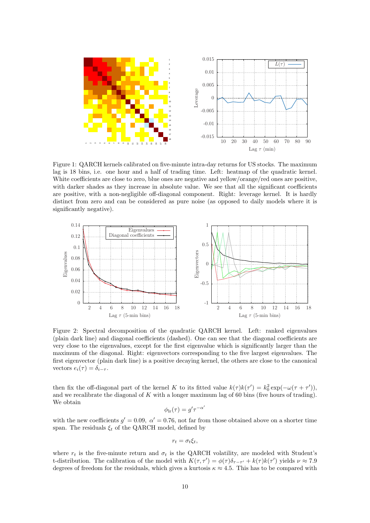

<span id="page-9-0"></span>Figure 1: QARCH kernels calibrated on five-minute intra-day returns for US stocks. The maximum lag is 18 bins, i.e. one hour and a half of trading time. Left: heatmap of the quadratic kernel. White coefficients are close to zero, blue ones are negative and yellow/orange/red ones are positive, with darker shades as they increase in absolute value. We see that all the significant coefficients are positive, with a non-negligible off-diagonal component. Right: leverage kernel. It is hardly distinct from zero and can be considered as pure noise (as opposed to daily models where it is significantly negative).



<span id="page-9-1"></span>Figure 2: Spectral decomposition of the quadratic QARCH kernel. Left: ranked eigenvalues (plain dark line) and diagonal coefficients (dashed). One can see that the diagonal coefficients are very close to the eigenvalues, except for the first eigenvalue which is significantly larger than the maximum of the diagonal. Right: eigenvectors corresponding to the five largest eigenvalues. The first eigenvector (plain dark line) is a positive decaying kernel, the others are close to the canonical vectors  $e_i(\tau) = \delta_{i-\tau}$ .

then fix the off-diagonal part of the kernel K to its fitted value  $k(\tau)k(\tau') = k_0^2 \exp(-\omega(\tau + \tau'))$ , and we recalibrate the diagonal of  $K$  with a longer maximum lag of 60 bins (five hours of trading). We obtain  $\overline{\phantom{a}}$ 

$$
\phi_{\rm lr}(\tau) = g'\tau^{-\alpha}
$$

with the new coefficients  $g' = 0.09$ ,  $\alpha' = 0.76$ , not far from those obtained above on a shorter time span. The residuals  $\xi_t$  of the QARCH model, defined by

$$
r_t = \sigma_t \xi_t,
$$

where  $r_t$  is the five-minute return and  $\sigma_t$  is the QARCH volatility, are modeled with Student's t-distribution. The calibration of the model with  $K(\tau, \tau') = \phi(\tau)\delta_{\tau-\tau'} + k(\tau)k(\tau')$  yields  $\nu \approx 7.9$ degrees of freedom for the residuals, which gives a kurtosis  $\kappa \approx 4.5$ . This has to be compared with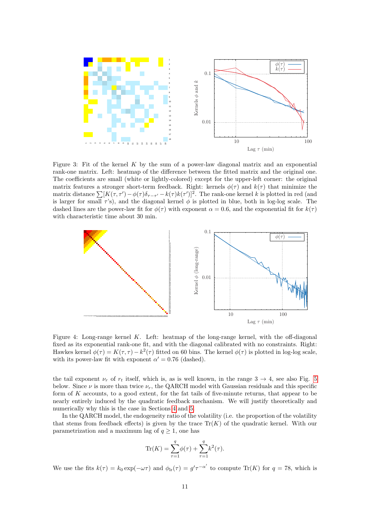

<span id="page-10-0"></span>Figure 3: Fit of the kernel  $K$  by the sum of a power-law diagonal matrix and an exponential rank-one matrix. Left: heatmap of the difference between the fitted matrix and the original one. The coefficients are small (white or lightly-colored) except for the upper-left corner: the original matrix features a stronger short-term feedback. Right: kernels  $\phi(\tau)$  and  $k(\tau)$  that minimize the matrix distance  $\sum [K(\tau, \tau') - \phi(\tau) \delta_{\tau-\tau'} - k(\tau) k(\tau')]^2$ . The rank-one kernel k is plotted in red (and is larger for small  $\tau$ 's), and the diagonal kernel  $\phi$  is plotted in blue, both in log-log scale. The dashed lines are the power-law fit for  $\phi(\tau)$  with exponent  $\alpha = 0.6$ , and the exponential fit for  $k(\tau)$ with characteristic time about 30 min.



Figure 4: Long-range kernel K. Left: heatmap of the long-range kernel, with the off-diagonal fixed as its exponential rank-one fit, and with the diagonal calibrated with no constraints. Right: Hawkes kernel  $\phi(\tau) = K(\tau, \tau) - k^2(\tau)$  fitted on 60 bins. The kernel  $\phi(\tau)$  is plotted in log-log scale, with its power-law fit with exponent  $\alpha' = 0.76$  (dashed).

the tail exponent  $\nu_r$  of  $r_t$  itself, which is, as is well known, in the range  $3 \rightarrow 4$ , see also Fig. [5](#page-16-0) below. Since  $\nu$  is more than twice  $\nu_r$ , the QARCH model with Gaussian residuals and this specific form of K accounts, to a good extent, for the fat tails of five-minute returns, that appear to be nearly entirely induced by the quadratic feedback mechanism. We will justify theoretically and numerically why this is the case in Sections [4](#page-11-0) and [5.](#page-15-0)

In the QARCH model, the endogeneity ratio of the volatility (i.e. the proportion of the volatility that stems from feedback effects) is given by the trace  $\text{Tr}(K)$  of the quadratic kernel. With our parametrization and a maximum lag of  $q \geq 1$ , one has

Tr(K) = 
$$
\sum_{\tau=1}^{q} \phi(\tau) + \sum_{\tau=1}^{q} k^2(\tau)
$$
.

We use the fits  $k(\tau) = k_0 \exp(-\omega \tau)$  and  $\phi_{\text{lr}}(\tau) = g' \tau^{-\alpha'}$  to compute Tr(K) for  $q = 78$ , which is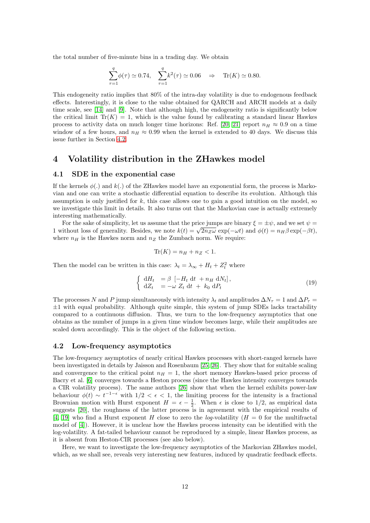the total number of five-minute bins in a trading day. We obtain

$$
\sum_{\tau=1}^{q} \phi(\tau) \simeq 0.74, \quad \sum_{\tau=1}^{q} k^2(\tau) \simeq 0.06 \quad \Rightarrow \quad \text{Tr}(K) \simeq 0.80.
$$

This endogeneity ratio implies that 80% of the intra-day volatility is due to endogenous feedback effects. Interestingly, it is close to the value obtained for QARCH and ARCH models at a daily time scale, see [\[14\]](#page-19-2) and [\[9\]](#page-19-10). Note that although high, the endogeneity ratio is significantly below the critical limit  $\text{Tr}(K) = 1$ , which is the value found by calibrating a standard linear Hawkes process to activity data on much longer time horizons: Ref. [\[20,](#page-20-10) [21\]](#page-20-11) report  $n_H \approx 0.9$  on a time window of a few hours, and  $n_H \approx 0.99$  when the kernel is extended to 40 days. We discuss this issue further in Section [4.2.](#page-11-1)

# <span id="page-11-0"></span>4 Volatility distribution in the ZHawkes model

### 4.1 SDE in the exponential case

If the kernels  $\phi(.)$  and  $k(.)$  of the ZHawkes model have an exponential form, the process is Markovian and one can write a stochastic differential equation to describe its evolution. Although this assumption is only justified for  $k$ , this case allows one to gain a good intuition on the model, so we investigate this limit in details. It also turns out that the Markovian case is actually extremely interesting mathematically.

For the sake of simplicity, let us assume that the price jumps are binary  $\xi = \pm \psi$ , and we set  $\psi =$ 1 without loss of generality. Besides, we note  $k(t) = \sqrt{2n_Z\omega} \exp(-\omega t)$  and  $\phi(t) = n_H\beta \exp(-\beta t)$ , where  $n_H$  is the Hawkes norm and  $n_Z$  the Zumbach norm. We require:

<span id="page-11-2"></span>
$$
\text{Tr}(K) = n_H + n_Z < 1.
$$

Then the model can be written in this case:  $\lambda_t = \lambda_\infty + H_t + Z_t^2$  where

$$
\begin{cases} \n dH_t = \beta \left[ -H_t dt + n_H dN_t \right], \\ \ndZ_t = -\omega Z_t dt + k_0 dP_t \n\end{cases} \tag{19}
$$

The processes N and P jump simultaneously with intensity  $\lambda_t$  and amplitudes  $\Delta N_\tau = 1$  and  $\Delta P_\tau =$  $\pm 1$  with equal probability. Although quite simple, this system of jump SDEs lacks tractability compared to a continuous diffusion. Thus, we turn to the low-frequency asymptotics that one obtains as the number of jumps in a given time window becomes large, while their amplitudes are scaled down accordingly. This is the object of the following section.

#### <span id="page-11-1"></span>4.2 Low-frequency asymptotics

The low-frequency asymptotics of nearly critical Hawkes processes with short-ranged kernels have been investigated in details by Jaisson and Rosenbaum [\[25,](#page-20-17) [26\]](#page-20-13). They show that for suitable scaling and convergence to the critical point  $n_H = 1$ , the short memory Hawkes-based price process of Bacry et al. [\[6\]](#page-19-11) converges towards a Heston process (since the Hawkes intensity converges towards a CIR volatility process). The same authors [\[26\]](#page-20-13) show that when the kernel exhibits power-law behaviour  $\phi(t) \sim t^{-1-\epsilon}$  with  $1/2 < \epsilon < 1$ , the limiting process for the intensity is a fractional Brownian motion with Hurst exponent  $H = \epsilon - \frac{1}{2}$ . When  $\epsilon$  is close to 1/2, as empirical data suggests [\[20\]](#page-20-10), the roughness of the latter process is in agreement with the empirical results of [\[4,](#page-19-0) [19\]](#page-20-0) who find a Hurst exponent H close to zero the log-volatility ( $H = 0$  for the multifractal model of [\[4\]](#page-19-0)). However, it is unclear how the Hawkes process intensity can be identified with the log-volatility. A fat-tailed behaviour cannot be reproduced by a simple, linear Hawkes process, as it is absent from Heston-CIR processes (see also below).

Here, we want to investigate the low-frequency asymptotics of the Markovian ZHawkes model, which, as we shall see, reveals very interesting new features, induced by quadratic feedback effects.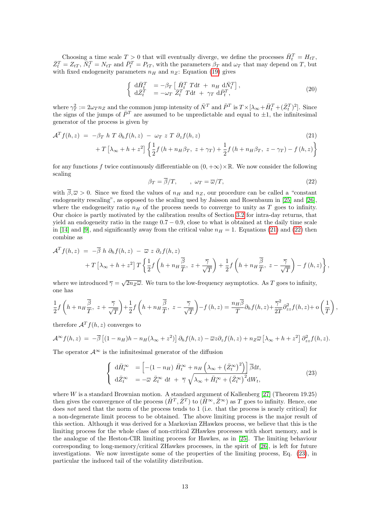Choosing a time scale  $T > 0$  that will eventually diverge, we define the processes  $\bar{H}_t^T = H_{tT}$ ,  $\bar{Z}_t^T = Z_{tT}, \bar{N}_t^T = N_{tT}$  and  $\bar{P}_t^T = P_{tT}$ , with the parameters  $\beta_T$  and  $\omega_T$  that may depend on T, but with fixed endogeneity parameters  $n_H$  and  $n_Z$ : Equation [\(19\)](#page-11-2) gives

$$
\begin{cases}\n\ \mathrm{d}\bar{H}_t^T &= -\beta_T \left[ \bar{H}_t^T \mathrm{Tdt} + n_H \ \mathrm{d}\bar{N}_t^T \right], \\
\ \mathrm{d}\bar{Z}_t^T &= -\omega_T \ \bar{Z}_t^T \mathrm{Tdt} + \gamma_T \ \mathrm{d}\bar{P}_t^T,\n\end{cases} \tag{20}
$$

where  $\gamma_T^2 := 2\omega_T n_Z$  and the common jump intensity of  $\bar{N}^T$  and  $\bar{P}^T$  is  $T \times [\lambda_\infty + \bar{H}_t^T + (\bar{Z}_t^T)^2]$ . Since the signs of the jumps of  $\bar{P}^T$  are assumed to be unpredictable and equal to  $\pm 1$ , the infinitesimal generator of the process is given by

$$
\mathcal{A}^T f(h, z) = -\beta_T h T \partial_h f(h, z) - \omega_T z T \partial_z f(h, z)
$$
\n
$$
+ T \left[ \lambda_\infty + h + z^2 \right] \left\{ \frac{1}{2} f \left( h + n_H \beta_T, z + \gamma_T \right) + \frac{1}{2} f \left( h + n_H \beta_T, z - \gamma_T \right) - f \left( h, z \right) \right\}
$$
\n(21)

for any functions f twice continuously differentiable on  $(0, +\infty) \times \mathbb{R}$ . We now consider the following scaling

<span id="page-12-1"></span><span id="page-12-0"></span>
$$
\beta_T = \overline{\beta}/T, \qquad , \ \omega_T = \overline{\omega}/T, \tag{22}
$$

with  $\bar{\beta}, \bar{\omega} > 0$ . Since we fixed the values of  $n_H$  and  $n_Z$ , our procedure can be called a "constant endogeneity rescaling", as opposed to the scaling used by Jaisson and Rosenbaum in [\[25\]](#page-20-17) and [\[26\]](#page-20-13), where the endogeneity ratio  $n_H$  of the process needs to converge to unity as T goes to infinity. Our choice is partly motivated by the calibration results of Section [3.2](#page-7-1) for intra-day returns, that yield an endogeneity ratio in the range  $0.7 - 0.9$ , close to what is obtained at the daily time scale in [\[14\]](#page-19-2) and [\[9\]](#page-19-10), and significantly away from the critical value  $n_H = 1$ . Equations [\(21\)](#page-12-0) and [\(22\)](#page-12-1) then combine as

$$
\mathcal{A}^T f(h, z) = -\overline{\beta} h \partial_h f(h, z) - \overline{\omega} z \partial_z f(h, z) \n+ T \left[ \lambda_{\infty} + h + z^2 \right] T \left\{ \frac{1}{2} f\left( h + n_H \frac{\overline{\beta}}{T}, z + \frac{\overline{\gamma}}{\sqrt{T}} \right) + \frac{1}{2} f\left( h + n_H \frac{\overline{\beta}}{T}, z - \frac{\overline{\gamma}}{\sqrt{T}} \right) - f(h, z) \right\},
$$

where we introduced  $\overline{\gamma} = \sqrt{2n_Z\overline{\omega}}$ . We turn to the low-frequency asymptotics. As T goes to infinity, one has

<span id="page-12-2"></span>
$$
\frac{1}{2}f\left(h+n_H\frac{\overline{\beta}}{T},\ z+\frac{\overline{\gamma}}{\sqrt{T}}\right)+\frac{1}{2}f\left(h+n_H\frac{\overline{\beta}}{T},\ z-\frac{\overline{\gamma}}{\sqrt{T}}\right)-f\left(h,z\right)=\frac{n_H\overline{\beta}}{T}\partial_h f(h,z)+\frac{\overline{\gamma}^2}{2T}\partial_{zz}^2 f(h,z)+o\left(\frac{1}{T}\right),
$$

therefore  $A<sup>T</sup> f(h, z)$  converges to

$$
\mathcal{A}^{\infty}f(h,z) = -\overline{\beta}\left[ (1-n_H)h - n_H(\lambda_{\infty}+z^2) \right] \partial_h f(h,z) - \overline{\omega}z \partial_z f(h,z) + n_Z \overline{\omega}\left[ \lambda_{\infty}+h+z^2 \right] \partial_{zz}^2 f(h,z).
$$

The operator  $\mathcal{A}^{\infty}$  is the infinitesimal generator of the diffusion

$$
\begin{cases} \n\mathrm{d}\bar{H}_t^{\infty} = \left[ -(1 - n_H) \bar{H}_t^{\infty} + n_H \left( \lambda_{\infty} + \left( \bar{Z}_t^{\infty} \right)^2 \right) \right] \overline{\beta} \mathrm{d}t, \\ \n\mathrm{d}\bar{Z}_t^{\infty} = -\overline{\omega} \,\bar{Z}_t^{\infty} \,\mathrm{d}t + \overline{\gamma} \sqrt{\lambda_{\infty} + \bar{H}_t^{\infty} + \left( \bar{Z}_t^{\infty} \right)^2} \mathrm{d}W_t, \n\end{cases} \tag{23}
$$

where W is a standard Brownian motion. A standard argument of Kallenberg  $[27]$  (Theorem 19.25) then gives the convergence of the process  $(\bar{H}^T, \bar{Z}^T)$  to  $(\bar{H}^{\infty}, \bar{Z}^{\infty})$  as T goes to infinity. Hence, one does not need that the norm of the process tends to 1 (i.e. that the process is nearly critical) for a non-degenerate limit process to be obtained. The above limiting process is the major result of this section. Although it was derived for a Markovian ZHawkes process, we believe that this is the limiting process for the whole class of non-critical ZHawkes processes with short memory, and is the analogue of the Heston-CIR limiting process for Hawkes, as in [\[25\]](#page-20-17). The limiting behaviour corresponding to long-memory/critical ZHawkes processes, in the spirit of [\[26\]](#page-20-13), is left for future investigations. We now investigate some of the properties of the limiting process, Eq. [\(23\)](#page-12-2), in particular the induced tail of the volatility distribution.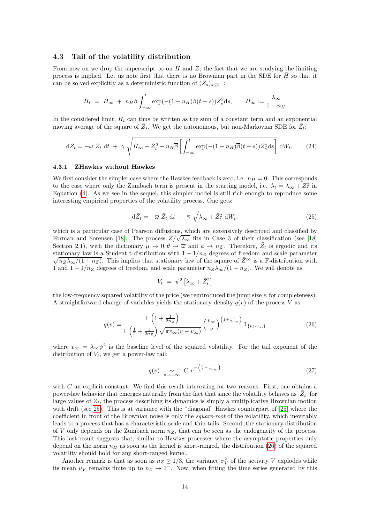### 4.3 Tail of the volatility distribution

From now on we drop the superscript  $\infty$  on  $\overline{H}$  and  $\overline{Z}$ ; the fact that we are studying the limiting process is implied. Let us note first that there is no Brownian part in the SDE for  $\bar{H}$  so that it can be solved explicitly as a deterministic function of  $(\bar{Z}_s)_{s\leq t}$ :

$$
\bar{H}_t = \bar{H}_{\infty} + n_H \overline{\beta} \int_{-\infty}^t \exp(-(1 - n_H)\overline{\beta}(t - s))\overline{Z}_s^2 ds; \qquad \bar{H}_{\infty} := \frac{\lambda_{\infty}}{1 - n_H}
$$

In the considered limit,  $\bar{H}_t$  can thus be written as the sum of a constant term and an exponential moving average of the square of  $\bar{Z}_s$ . We get the autonomous, but non-Markovian SDE for  $\bar{Z}_t$ :

$$
d\bar{Z}_t = -\overline{\omega}\,\bar{Z}_t\,dt + \overline{\gamma}\,\sqrt{\bar{H}_{\infty} + \bar{Z}_t^2 + n_H\overline{\beta}\left[\int_{-\infty}^t \exp(-(1 - n_H)\overline{\beta}(t - s))\bar{Z}_s^2ds\right]}\,dW_t.
$$
 (24)

#### 4.3.1 ZHawkes without Hawkes

We first consider the simpler case where the Hawkes feedback is zero, i.e.  $n_H = 0$ . This corresponds to the case where only the Zumbach term is present in the starting model, i.e.  $\lambda_t = \lambda_\infty + Z_t^2$  in Equation [\(4\)](#page-3-3). As we see in the sequel, this simpler model is still rich enough to reproduce some interesting empirical properties of the volatility process. One gets:

<span id="page-13-0"></span>
$$
\mathrm{d}\bar{Z}_t = -\overline{\omega}\,\,\bar{Z}_t\,\,\mathrm{d}t\,\,+\,\,\overline{\gamma}\,\sqrt{\lambda_\infty + \bar{Z}_t^2}\,\,\mathrm{d}W_t,\tag{25}
$$

which is a particular case of Pearson diffusions, which are extensively described and classified by Forman and Sorensen [\[18\]](#page-20-19). The process  $\bar{Z}/\sqrt{\lambda_{\infty}}$  fits in Case 3 of their classification (see [18] Section 2.1), with the dictionary  $\mu \to 0, \theta \to \overline{\omega}$  and  $a \to n_Z$ . Therefore,  $\overline{Z}_t$  is ergodic and its stationary law is a Student t-distribution with  $1 + 1/n_Z$  degrees of freedom and scale parameter  $\sqrt{n_Z\lambda_\infty/(1+n_Z)}$ . This implies that stationary law of the square of  $\bar{Z}^\infty$  is a F-distribution with 1 and  $1 + 1/n_Z$  degrees of freedom, and scale parameter  $n_Z\lambda_\infty/(1 + n_Z)$ . We will denote as

<span id="page-13-1"></span>
$$
V_t = \psi^2 \left[ \lambda_\infty + \bar{Z}_t^2 \right]
$$

the low-frequency squared volatility of the price (we reintroduced the jump size  $\psi$  for completeness). A straightforward change of variables yields the stationary density  $q(v)$  of the process V as:

$$
q(v) = \frac{\Gamma\left(1 + \frac{1}{2n_Z}\right)}{\Gamma\left(\frac{1}{2} + \frac{1}{2n_Z}\right)\sqrt{\pi v_\infty (v - v_\infty)}} \left(\frac{v_\infty}{v}\right)^{\left(1 + \frac{1}{2n_Z}\right)} 1_{\{v > v_\infty\}} \tag{26}
$$

where  $v_{\infty} = \lambda_{\infty} \psi^2$  is the baseline level of the squared volatility. For the tail exponent of the distribution of  $V_t$ , we get a power-law tail:

$$
q(v) \underset{v \to +\infty}{\sim} C \, v^{-\left(\frac{3}{2} + \frac{1}{2n_Z}\right)} \tag{27}
$$

with  $C$  an explicit constant. We find this result interesting for two reasons. First, one obtains a power-law behavior that emerges naturally from the fact that since the volatility behaves as  $|\bar{Z}_t|$  for large values of  $\bar{Z}_t$ , the process describing its dynamics is simply a multiplicative Brownian motion with drift (see [25\)](#page-13-0). This is at variance with the "diagonal" Hawkes counterpart of [\[25\]](#page-20-17) where the coefficient in front of the Brownian noise is only the square-root of the volatility, which inevitably leads to a process that has a characteristic scale and thin tails. Second, the stationary distribution of V only depends on the Zumbach norm  $n_Z$ , that can be seen as the endogeneity of the process. This last result suggests that, similar to Hawkes processes where the asymptotic properties only depend on the norm  $n_H$  as soon as the kernel is short-ranged, the distribution [\(26\)](#page-13-1) of the squared volatility should hold for any short-ranged kernel.

Another remark is that as soon as  $n_Z \geq 1/3$ , the variance  $\sigma_V^2$  of the activity V explodes while its mean  $\mu_V$  remains finite up to  $n_Z \to 1^-$ . Now, when fitting the time series generated by this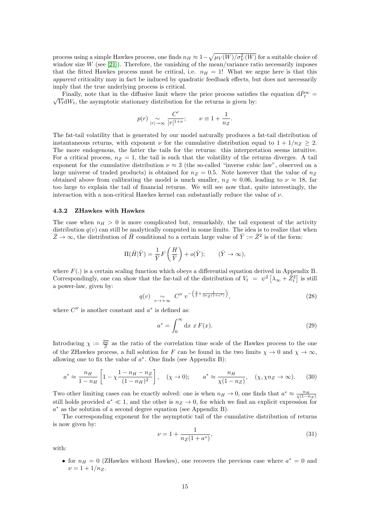process using a simple Hawkes process, one finds  $n_H \approx 1 - \sqrt{\mu_V(W)/\sigma_V^2(W)}$  for a suitable choice of window size  $W$  (see [\[21\]](#page-20-11)). Therefore, the vanishing of the mean/variance ratio necessarily imposes that the fitted Hawkes process must be critical, i.e.  $n_H = 1!$  What we argue here is that this apparent criticality may in fact be induced by quadratic feedback effects, but does not necessarily imply that the true underlying process is critical.

Finally, note that in the diffusive limit where the price process satisfies the equation d $\bar{P}_t^{\infty} =$ <br> $\sqrt{V}dW$ , the asymptotic stationary distribution for the returns is given by:  $\sqrt{V_t}dW_t$ , the asymptotic stationary distribution for the returns is given by:

$$
p(r) \underset{|r| \to \infty}{\sim} \frac{C'}{|r|^{1+\nu}}; \qquad \nu \equiv 1 + \frac{1}{n_Z}.
$$

The fat-tail volatility that is generated by our model naturally produces a fat-tail distribution of instantaneous returns, with exponent  $\nu$  for the cumulative distribution equal to  $1 + 1/n_Z \geq 2$ . The more endogenous, the fatter the tails for the returns: this interpretation seems intuitive. For a critical process,  $n_Z = 1$ , the tail is such that the volatility of the returns diverges. A tail exponent for the cumulative distribution  $\nu \approx 3$  (the so-called "inverse cubic law", observed on a large universe of traded products) is obtained for  $n_Z = 0.5$ . Note however that the value of  $n_Z$ obtained above from calibrating the model is much smaller,  $n_Z \approx 0.06$ , leading to  $\nu \approx 18$ , far too large to explain the tail of financial returns. We will see now that, quite interestingly, the interaction with a non-critical Hawkes kernel can substantially reduce the value of  $\nu$ .

#### 4.3.2 ZHawkes with Hawkes

The case when  $n_H > 0$  is more complicated but, remarkably, the tail exponent of the activity distribution  $q(v)$  can still be analytically computed in some limits. The idea is to realize that when  $\bar{Z}\to\infty$ , the distribution of  $\bar{H}$  conditional to a certain large value of  $\bar{Y} := \bar{Z}^2$  is of the form:

$$
\Pi(\bar{H}|\bar{Y}) = \frac{1}{\bar{Y}}F\left(\frac{H}{\bar{Y}}\right) + o(\bar{Y}); \qquad (\bar{Y} \to \infty),
$$

where  $F(.)$  is a certain scaling function which obeys a differential equation derived in Appendix B. Correspondingly, one can show that the far-tail of the distribution of  $V_t = \psi^2 \left[ \lambda_\infty + \bar{Z}_t^2 \right]$  is still a power-law, given by:

$$
q(v) \underset{v \to +\infty}{\sim} C'' \, v^{-\left(\frac{3}{2} + \frac{1}{2n_Z(1 + a^*)}\right)},\tag{28}
$$

where  $C''$  is another constant and  $a^*$  is defined as:

$$
a^* = \int_0^\infty \mathrm{d}x \ x \ F(x). \tag{29}
$$

Introducing  $\chi := \frac{2\overline{\omega}}{\overline{\beta}}$  as the ratio of the correlation time scale of the Hawkes process to the one of the ZHawkes process, a full solution for F can be found in the two limits  $\chi \to 0$  and  $\chi \to \infty$ , allowing one to fix the value of  $a^*$ . One finds (see Appendix B):

$$
a^* \approx \frac{n_H}{1 - n_H} \left[ 1 - \chi \frac{1 - n_H - n_Z}{(1 - n_H)^2} \right], \quad (\chi \to 0); \qquad a^* \approx \frac{n_H}{\chi(1 - n_Z)}, \quad (\chi, \chi n_Z \to \infty). \tag{30}
$$

Two other limiting cases can be exactly solved: one is when  $n_H \to 0$ , one finds that  $a^* \approx \frac{n_H}{\chi(1-n_Z)}$ still holds provided  $a^* \ll 1$ , and the other is  $n_Z \to 0$ , for which we find an explicit expression for a <sup>∗</sup> as the solution of a second degree equation (see Appendix B).

The corresponding exponent for the asymptotic tail of the cumulative distribution of returns is now given by:

$$
\nu = 1 + \frac{1}{n_Z(1 + a^*)},\tag{31}
$$

with:

• for  $n_H = 0$  (ZHawkes without Hawkes), one recovers the previous case where  $a^* = 0$  and  $\nu = 1 + 1/n_Z$ .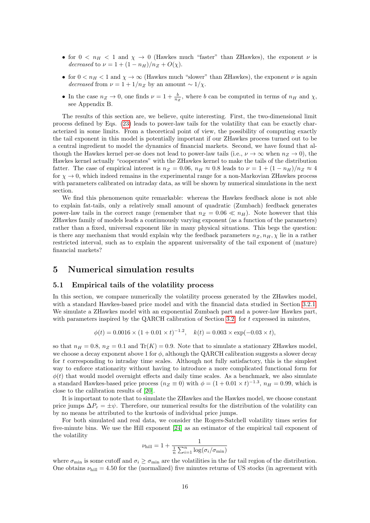- for  $0 < n_H < 1$  and  $\chi \to 0$  (Hawkes much "faster" than ZHawkes), the exponent  $\nu$  is decreased to  $\nu = 1 + (1 - n_H)/n_Z + O(\chi)$ .
- for  $0 < n_H < 1$  and  $\chi \to \infty$  (Hawkes much "slower" than ZHawkes), the exponent  $\nu$  is again decreased from  $\nu = 1 + 1/n_Z$  by an amount ~ 1/χ.
- In the case  $n_Z \to 0$ , one finds  $\nu = 1 + \frac{b}{nz}$ , where b can be computed in terms of  $n_H$  and  $\chi$ , see Appendix B.

The results of this section are, we believe, quite interesting. First, the two-dimensional limit process defined by Eqs. [\(23\)](#page-12-2) leads to power-law tails for the volatility that can be exactly characterized in some limits. From a theoretical point of view, the possibility of computing exactly the tail exponent in this model is potentially important if our ZHawkes process turned out to be a central ingredient to model the dynamics of financial markets. Second, we have found that although the Hawkes kernel per-se does not lead to power-law tails (i.e.,  $\nu \to \infty$  when  $n_Z \to 0$ ), the Hawkes kernel actually "cooperates" with the ZHawkes kernel to make the tails of the distribution fatter. The case of empirical interest is  $n_Z = 0.06$ ,  $n_H \approx 0.8$  leads to  $\nu = 1 + (1 - n_H)/n_Z \approx 4$ for  $\chi \to 0$ , which indeed remains in the experimental range for a non-Markovian ZHawkes process with parameters calibrated on intraday data, as will be shown by numerical simulations in the next section.

We find this phenomenon quite remarkable: whereas the Hawkes feedback alone is not able to explain fat-tails, only a relatively small amount of quadratic (Zumbach) feedback generates power-law tails in the correct range (remember that  $n_Z = 0.06 \ll n_H$ ). Note however that this ZHawkes family of models leads a continuously varying exponent (as a function of the parameters) rather than a fixed, universal exponent like in many physical situations. This begs the question: is there any mechanism that would explain why the feedback parameters  $n_{Z}, n_{H}$ ,  $\chi$  lie in a rather restricted interval, such as to explain the apparent universality of the tail exponent of (mature) financial markets?

# <span id="page-15-0"></span>5 Numerical simulation results

### 5.1 Empirical tails of the volatility process

In this section, we compare numerically the volatility process generated by the ZHawkes model, with a standard Hawkes-based price model and with the financial data studied in Section [3.2.1.](#page-7-2) We simulate a ZHawkes model with an exponential Zumbach part and a power-law Hawkes part, with parameters inspired by the QARCH calibration of Section [3.2:](#page-7-1) for  $t$  expressed in minutes,

$$
\phi(t) = 0.0016 \times (1 + 0.01 \times t)^{-1.2}, \quad k(t) = 0.003 \times \exp(-0.03 \times t),
$$

so that  $n_H = 0.8$ ,  $n_Z = 0.1$  and Tr(K) = 0.9. Note that to simulate a stationary ZHawkes model, we choose a decay exponent above 1 for  $\phi$ , although the QARCH calibration suggests a slower decay for t corresponding to intraday time scales. Although not fully satisfactory, this is the simplest way to enforce stationarity without having to introduce a more complicated functional form for  $\phi(t)$  that would model overnight effects and daily time scales. As a benchmark, we also simulate a standard Hawkes-based price process  $(n_Z \equiv 0)$  with  $\phi = (1 + 0.01 \times t)^{-1.3}$ ,  $n_H = 0.99$ , which is close to the calibration results of [\[20\]](#page-20-10).

It is important to note that to simulate the ZHawkes and the Hawkes model, we choose constant price jumps  $\Delta P_{\tau} = \pm \psi$ . Therefore, our numerical results for the distribution of the volatility can by no means be attributed to the kurtosis of individual price jumps.

For both simulated and real data, we consider the Rogers-Satchell volatility times series for five-minute bins. We use the Hill exponent [\[24\]](#page-20-20) as an estimator of the empirical tail exponent of the volatility

$$
\nu_{\text{hill}} = 1 + \frac{1}{\frac{1}{n} \sum_{i=1}^{n} \log(\sigma_i / \sigma_{\text{min}})}
$$

where  $\sigma_{\min}$  is some cutoff and  $\sigma_i \ge \sigma_{\min}$  are the volatilities in the far tail region of the distribution. One obtains  $\nu_{\text{hill}} = 4.50$  for the (normalized) five minutes returns of US stocks (in agreement with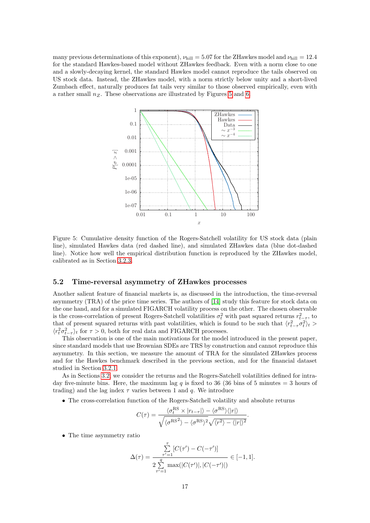many previous determinations of this exponent),  $\nu_{\text{hill}} = 5.07$  for the ZHawkes model and  $\nu_{\text{hill}} = 12.4$ for the standard Hawkes-based model without ZHawkes feedback. Even with a norm close to one and a slowly-decaying kernel, the standard Hawkes model cannot reproduce the tails observed on US stock data. Instead, the ZHawkes model, with a norm strictly below unity and a short-lived Zumbach effect, naturally produces fat tails very similar to those observed empirically, even with a rather small  $n_Z$ . These observations are illustrated by Figures [5](#page-16-0) and [6.](#page-17-1)



<span id="page-16-0"></span>Figure 5: Cumulative density function of the Rogers-Satchell volatility for US stock data (plain line), simulated Hawkes data (red dashed line), and simulated ZHawkes data (blue dot-dashed line). Notice how well the empirical distribution function is reproduced by the ZHawkes model, calibrated as in Section [3.2.3.](#page-8-0)

### 5.2 Time-reversal asymmetry of ZHawkes processes

Another salient feature of financial markets is, as discussed in the introduction, the time-reversal asymmetry (TRA) of the price time series. The authors of [\[14\]](#page-19-2) study this feature for stock data on the one hand, and for a simulated FIGARCH volatility process on the other. The chosen observable is the cross-correlation of present Rogers-Satchell volatilities  $\sigma_t^2$  with past squared returns  $r_{t-\tau}^2$ , to that of present squared returns with past volatilities, which is found to be such that  $\langle r_{t-\tau}^2 \sigma_t^2 \rangle_t >$  $\langle r_t^2 \sigma_{t-\tau}^2 \rangle_t$  for  $\tau > 0$ , both for real data and FIGARCH processes.

This observation is one of the main motivations for the model introduced in the present paper, since standard models that use Brownian SDEs are TRS by construction and cannot reproduce this asymmetry. In this section, we measure the amount of TRA for the simulated ZHawkes process and for the Hawkes benchmark described in the previous section, and for the financial dataset studied in Section [3.2.1.](#page-7-2)

As in Sections [3.2,](#page-7-1) we consider the returns and the Rogers-Satchell volatilities defined for intraday five-minute bins. Here, the maximum lag q is fixed to 36 (36 bins of 5 minutes = 3 hours of trading) and the lag index  $\tau$  varies between 1 and q. We introduce

• The cross-correlation function of the Rogers-Satchell volatility and absolute returns

$$
C(\tau) = \frac{\langle \sigma_t^{\text{RS}} \times |r_{t-\tau}|\rangle - \langle \sigma^{\text{RS}} \rangle \langle |r| \rangle}{\sqrt{\langle \sigma^{\text{RS}} \rangle - \langle \sigma^{\text{RS}} \rangle^2} \sqrt{\langle r^2 \rangle - \langle |r| \rangle^2}}.
$$

• The time asymmetry ratio

$$
\Delta(\tau) = \frac{\sum_{\tau'=1}^{\tau} [C(\tau') - C(-\tau')] }{2 \sum_{\tau'=1}^{q} \max(|C(\tau')|, |C(-\tau')|)} \in [-1, 1].
$$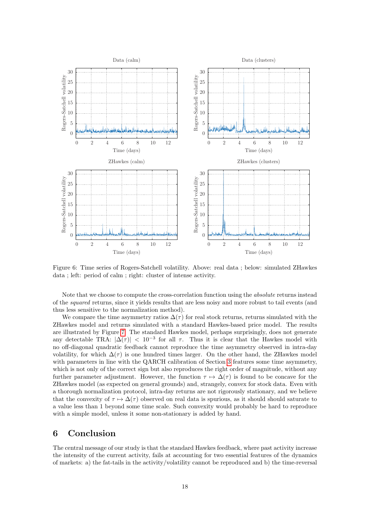

<span id="page-17-1"></span>Figure 6: Time series of Rogers-Satchell volatility. Above: real data ; below: simulated ZHawkes data ; left: period of calm ; right: cluster of intense activity.

Note that we choose to compute the cross-correlation function using the absolute returns instead of the squared returns, since it yields results that are less noisy and more robust to tail events (and thus less sensitive to the normalization method).

We compare the time asymmetry ratios  $\Delta(\tau)$  for real stock returns, returns simulated with the ZHawkes model and returns simulated with a standard Hawkes-based price model. The results are illustrated by Figure [7.](#page-18-0) The standard Hawkes model, perhaps surprisingly, does not generate any detectable TRA:  $|\Delta(\tau)| < 10^{-3}$  for all  $\tau$ . Thus it is clear that the Hawkes model with no off-diagonal quadratic feedback cannot reproduce the time asymmetry observed in intra-day volatility, for which  $\Delta(\tau)$  is one hundred times larger. On the other hand, the ZHawkes model with parameters in line with the QARCH calibration of Section [3](#page-7-0) features some time asymmetry, which is not only of the correct sign but also reproduces the right order of magnitude, without any further parameter adjustment. However, the function  $\tau \mapsto \Delta(\tau)$  is found to be concave for the ZHawkes model (as expected on general grounds) and, strangely, convex for stock data. Even with a thorough normalization protocol, intra-day returns are not rigorously stationary, and we believe that the convexity of  $\tau \mapsto \Delta(\tau)$  observed on real data is spurious, as it should should saturate to a value less than 1 beyond some time scale. Such convexity would probably be hard to reproduce with a simple model, unless it some non-stationary is added by hand.

# <span id="page-17-0"></span>6 Conclusion

The central message of our study is that the standard Hawkes feedback, where past activity increase the intensity of the current activity, fails at accounting for two essential features of the dynamics of markets: a) the fat-tails in the activity/volatility cannot be reproduced and b) the time-reversal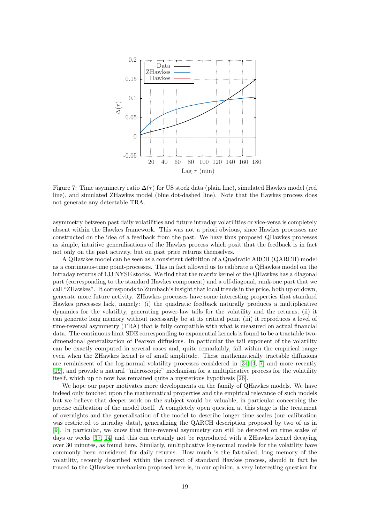

<span id="page-18-0"></span>Figure 7: Time asymmetry ratio  $\Delta(\tau)$  for US stock data (plain line), simulated Hawkes model (red line), and simulated ZHawkes model (blue dot-dashed line). Note that the Hawkes process does not generate any detectable TRA.

asymmetry between past daily volatilities and future intraday volatilities or vice-versa is completely absent within the Hawkes framework. This was not a priori obvious, since Hawkes processes are constructed on the idea of a feedback from the past. We have thus proposed QHawkes processes as simple, intuitive generalisations of the Hawkes process which posit that the feedback is in fact not only on the past activity, but on past price returns themselves.

A QHawkes model can be seen as a consistent definition of a Quadratic ARCH (QARCH) model as a continuous-time point-processes. This in fact allowed us to calibrate a QHawkes model on the intraday returns of 133 NYSE stocks. We find that the matrix kernel of the QHawkes has a diagonal part (corresponding to the standard Hawkes component) and a off-diagonal, rank-one part that we call "ZHawkes". It corresponds to Zumbach's insight that local trends in the price, both up or down, generate more future activity. ZHawkes processes have some interesting properties that standard Hawkes processes lack, namely: (i) the quadratic feedback naturally produces a multiplicative dynamics for the volatility, generating power-law tails for the volatility and the returns, (ii) it can generate long memory without necessarily be at its critical point (iii) it reproduces a level of time-reversal asymmetry (TRA) that is fully compatible with what is measured on actual financial data. The continuous limit SDE corresponding to exponential kernels is found to be a tractable twodimensional generalization of Pearson diffusions. In particular the tail exponent of the volatility can be exactly computed in several cases and, quite remarkably, fall within the empirical range even when the ZHawkes kernel is of small amplitude. These mathematically tractable diffusions are reminiscent of the log-normal volatility processes considered in [\[34,](#page-20-21) [4,](#page-19-0) [7\]](#page-19-12) and more recently [\[19\]](#page-20-0), and provide a natural "microscopic" mechanism for a multiplicative process for the volatility itself, which up to now has remained quite a mysterious hypothesis [\[26\]](#page-20-13).

We hope our paper motivates more developments on the family of QHawkes models. We have indeed only touched upon the mathematical properties and the empirical relevance of such models but we believe that deeper work on the subject would be valuable, in particular concerning the precise calibration of the model itself. A completely open question at this stage is the treatment of overnights and the generalisation of the model to describe longer time scales (our calibration was restricted to intraday data), generalizing the QARCH description proposed by two of us in [\[9\]](#page-19-10). In particular, we know that time-reversal asymmetry can still be detected on time scales of days or weeks [\[37,](#page-20-2) [14\]](#page-19-2) and this can certainly not be reproduced with a ZHawkes kernel decaying over 30 minutes, as found here. Similarly, multiplicative log-normal models for the volatility have commonly been considered for daily returns. How much is the fat-tailed, long memory of the volatility, recently described within the context of standard Hawkes process, should in fact be traced to the QHawkes mechanism proposed here is, in our opinion, a very interesting question for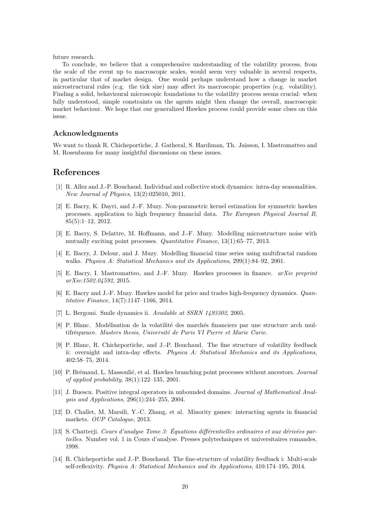future research.

To conclude, we believe that a comprehensive understanding of the volatility process, from the scale of the event up to macroscopic scales, would seem very valuable in several respects, in particular that of market design. One would perhaps understand how a change in market microstructural rules (e.g. the tick size) may affect its macroscopic properties (e.g. volatility). Finding a solid, behavioural microscopic foundations to the volatility process seems crucial: when fully understood, simple constraints on the agents might then change the overall, macroscopic market behaviour. We hope that our generalized Hawkes process could provide some clues on this issue.

### Acknowledgments

We want to thank R. Chicheportiche, J. Gatheral, S. Hardiman, Th. Jaisson, I. Mastromatteo and M. Rosenbaum for many insightful discussions on these issues.

# References

- <span id="page-19-9"></span>[1] R. Allez and J.-P. Bouchaud. Individual and collective stock dynamics: intra-day seasonalities. New Journal of Physics, 13(2):025010, 2011.
- <span id="page-19-7"></span>[2] E. Bacry, K. Dayri, and J.-F. Muzy. Non-parametric kernel estimation for symmetric hawkes processes. application to high frequency financial data. The European Physical Journal B, 85(5):1–12, 2012.
- <span id="page-19-5"></span>[3] E. Bacry, S. Delattre, M. Hoffmann, and J.-F. Muzy. Modelling microstructure noise with mutually exciting point processes. Quantitative Finance, 13(1):65–77, 2013.
- <span id="page-19-0"></span>[4] E. Bacry, J. Delour, and J. Muzy. Modelling financial time series using multifractal random walks. Physica A: Statistical Mechanics and its Applications, 299(1):84–92, 2001.
- <span id="page-19-3"></span>[5] E. Bacry, I. Mastromatteo, and J.-F. Muzy. Hawkes processes in finance. arXiv preprint arXiv:1502.04592, 2015.
- <span id="page-19-11"></span>[6] E. Bacry and J.-F. Muzy. Hawkes model for price and trades high-frequency dynamics. Quantitative Finance, 14(7):1147–1166, 2014.
- <span id="page-19-12"></span>[7] L. Bergomi. Smile dynamics ii. Available at SSRN 1493302, 2005.
- <span id="page-19-8"></span>[8] P. Blanc. Modélisation de la volatilité des marchés financiers par une structure arch multifréquence. Masters thesis, Université de Paris VI Pierre et Marie Curie.
- <span id="page-19-10"></span>[9] P. Blanc, R. Chicheportiche, and J.-P. Bouchaud. The fine structure of volatility feedback ii: overnight and intra-day effects. Physica A: Statistical Mechanics and its Applications, 402:58–75, 2014.
- <span id="page-19-4"></span>[10] P. Brémaud, L. Massoulié, et al. Hawkes branching point processes without ancestors. *Journal* of applied probability,  $38(1):122-135$ ,  $2001$ .
- <span id="page-19-6"></span>[11] J. Buescu. Positive integral operators in unbounded domains. Journal of Mathematical Analysis and Applications, 296(1):244–255, 2004.
- <span id="page-19-1"></span>[12] D. Challet, M. Marsili, Y.-C. Zhang, et al. Minority games: interacting agents in financial markets. OUP Catalogue, 2013.
- $[13]$  S. Chatterji. Cours d'analyse Tome 3: Équations différentielles ordinaires et aux dérivées partielles. Number vol. 1 in Cours d'analyse. Presses polytechniques et universitaires romandes, 1998.
- <span id="page-19-2"></span>[14] R. Chicheportiche and J.-P. Bouchaud. The fine-structure of volatility feedback i: Multi-scale self-reflexivity. Physica A: Statistical Mechanics and its Applications, 410:174–195, 2014.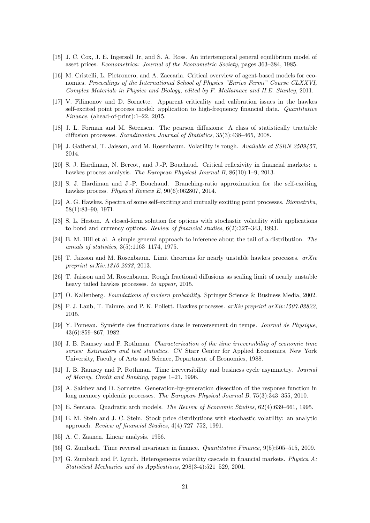- <span id="page-20-7"></span>[15] J. C. Cox, J. E. Ingersoll Jr, and S. A. Ross. An intertemporal general equilibrium model of asset prices. Econometrica: Journal of the Econometric Society, pages 363–384, 1985.
- <span id="page-20-1"></span>[16] M. Cristelli, L. Pietronero, and A. Zaccaria. Critical overview of agent-based models for economics. Proceedings of the International School of Physics "Enrico Fermi" Course CLXXVI, Complex Materials in Physics and Biology, edited by F. Mallamace and H.E. Stanley, 2011.
- <span id="page-20-12"></span>[17] V. Filimonov and D. Sornette. Apparent criticality and calibration issues in the hawkes self-excited point process model: application to high-frequency financial data. Quantitative Finance, (ahead-of-print):1–22, 2015.
- <span id="page-20-19"></span>[18] J. L. Forman and M. Sørensen. The pearson diffusions: A class of statistically tractable diffusion processes. Scandinavian Journal of Statistics, 35(3):438–465, 2008.
- <span id="page-20-0"></span>[19] J. Gatheral, T. Jaisson, and M. Rosenbaum. Volatility is rough. Available at SSRN 2509457, 2014.
- <span id="page-20-10"></span>[20] S. J. Hardiman, N. Bercot, and J.-P. Bouchaud. Critical reflexivity in financial markets: a hawkes process analysis. The European Physical Journal B, 86(10):1–9, 2013.
- <span id="page-20-11"></span>[21] S. J. Hardiman and J.-P. Bouchaud. Branching-ratio approximation for the self-exciting hawkes process. *Physical Review E*,  $90(6)$ :062807, 2014.
- <span id="page-20-15"></span>[22] A. G. Hawkes. Spectra of some self-exciting and mutually exciting point processes. Biometrika, 58(1):83–90, 1971.
- <span id="page-20-8"></span>[23] S. L. Heston. A closed-form solution for options with stochastic volatility with applications to bond and currency options. Review of financial studies, 6(2):327–343, 1993.
- <span id="page-20-20"></span>[24] B. M. Hill et al. A simple general approach to inference about the tail of a distribution. The annals of statistics, 3(5):1163–1174, 1975.
- <span id="page-20-17"></span>[25] T. Jaisson and M. Rosenbaum. Limit theorems for nearly unstable hawkes processes.  $arXiv$ preprint arXiv:1310.2033, 2013.
- <span id="page-20-13"></span>[26] T. Jaisson and M. Rosenbaum. Rough fractional diffusions as scaling limit of nearly unstable heavy tailed hawkes processes. to appear, 2015.
- <span id="page-20-18"></span>[27] O. Kallenberg. Foundations of modern probability. Springer Science & Business Media, 2002.
- <span id="page-20-9"></span>[28] P. J. Laub, T. Taimre, and P. K. Pollett. Hawkes processes. arXiv preprint arXiv:1507.02822, 2015.
- <span id="page-20-3"></span>[29] Y. Pomeau. Sym´etrie des fluctuations dans le renversement du temps. Journal de Physique, 43(6):859–867, 1982.
- <span id="page-20-4"></span>[30] J. B. Ramsey and P. Rothman. Characterization of the time irreversibility of economic time series: Estimators and test statistics. CV Starr Center for Applied Economics, New York University, Faculty of Arts and Science, Department of Economics, 1988.
- <span id="page-20-5"></span>[31] J. B. Ramsey and P. Rothman. Time irreversibility and business cycle asymmetry. Journal of Money, Credit and Banking, pages 1–21, 1996.
- <span id="page-20-16"></span>[32] A. Saichev and D. Sornette. Generation-by-generation dissection of the response function in long memory epidemic processes. The European Physical Journal B, 75(3):343–355, 2010.
- <span id="page-20-14"></span>[33] E. Sentana. Quadratic arch models. The Review of Economic Studies, 62(4):639–661, 1995.
- <span id="page-20-21"></span>[34] E. M. Stein and J. C. Stein. Stock price distributions with stochastic volatility: an analytic approach. Review of financial Studies, 4(4):727–752, 1991.
- [35] A. C. Zaanen. Linear analysis. 1956.
- <span id="page-20-6"></span>[36] G. Zumbach. Time reversal invariance in finance. *Quantitative Finance*, 9(5):505–515, 2009.
- <span id="page-20-2"></span>[37] G. Zumbach and P. Lynch. Heterogeneous volatility cascade in financial markets. Physica  $A$ : Statistical Mechanics and its Applications, 298(3-4):521–529, 2001.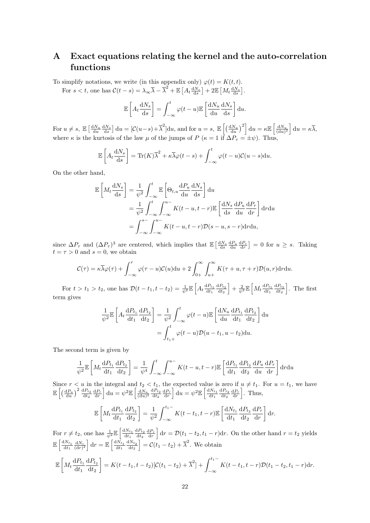# <span id="page-21-0"></span>A Exact equations relating the kernel and the auto-correlation functions

To simplify notations, we write (in this appendix only)  $\varphi(t) = K(t, t)$ . For  $s < t$ , one has  $C(t - s) = \lambda_{\infty} \overline{\lambda} - \overline{\lambda}^2 + \mathbb{E} \left[ A_t \frac{dN_s}{ds} \right] + 2 \mathbb{E} \left[ M_t \frac{dN_s}{ds} \right]$ .

$$
\mathbb{E}\left[A_t \frac{\mathrm{d}N_s}{\mathrm{d}s}\right] = \int_{-\infty}^t \varphi(t-u)\mathbb{E}\left[\frac{\mathrm{d}N_u}{\mathrm{d}u}\frac{\mathrm{d}N_s}{\mathrm{d}s}\right] \mathrm{d}u.
$$

For  $u \neq s$ ,  $\mathbb{E}\left[\frac{dN_u}{du}\frac{dN_s}{ds}\right]du = \left[\mathcal{C}(u-s) + \overline{\lambda}^2\right]du$ , and for  $u = s$ ,  $\mathbb{E}\left[\left(\frac{dN_u}{du}\right)^2\right]du = \kappa \mathbb{E}\left[\frac{dN_u}{(du)^2}\right]du = \kappa \overline{\lambda}$ , where  $\kappa$  is the kurtosis of the law  $\mu$  of the jumps of P ( $\kappa = 1$  if  $\Delta P_{\tau} = \pm \psi$ ). Thus,

$$
\mathbb{E}\left[A_t \frac{dN_s}{ds}\right] = \text{Tr}(K)\overline{\lambda}^2 + \kappa \overline{\lambda} \varphi(t-s) + \int_{-\infty}^t \varphi(t-u)\mathcal{C}(u-s)du.
$$

On the other hand,

$$
\mathbb{E}\left[M_t \frac{dN_s}{ds}\right] = \frac{1}{\psi^2} \int_{-\infty}^t \mathbb{E}\left[\Theta_{t,u} \frac{dP_u}{du} \frac{dN_s}{ds}\right] du
$$
  

$$
= \frac{1}{\psi^2} \int_{-\infty}^t \int_{-\infty}^{u^-} K(t-u, t-r) \mathbb{E}\left[\frac{dN_s}{ds} \frac{dP_u}{du} \frac{dP_r}{dr}\right] dr du
$$
  

$$
= \int_{-\infty}^{s^-} \int_{-\infty}^{u^-} K(t-u, t-r) \mathcal{D}(s-u, s-r) dr du,
$$

since  $\Delta P_{\tau}$  and  $(\Delta P_{\tau})^3$  are centered, which implies that  $\mathbb{E}\left[\frac{dN_s}{ds}\frac{dP_u}{du}\frac{dP_r}{dr}\right] = 0$  for  $u \geq s$ . Taking  $t = \tau > 0$  and  $s = 0$ , we obtain

$$
\mathcal{C}(\tau) = \kappa \overline{\lambda} \varphi(\tau) + \int_{-\infty}^{\tau} \varphi(\tau - u) \mathcal{C}(u) \mathrm{d}u + 2 \int_{0+}^{\infty} \int_{u+}^{\infty} K(\tau + u, \tau + r) \mathcal{D}(u, r) \mathrm{d}r \mathrm{d}u.
$$

For  $t > t_1 > t_2$ , one has  $\mathcal{D}(t - t_1, t - t_2) = \frac{1}{\psi^2} \mathbb{E}\left[A_t \frac{dP_{t_1}}{dt_1} \frac{dP_{t_2}}{dt_2}\right] + \frac{2}{\psi^2} \mathbb{E}\left[M_t \frac{dP_{t_1}}{dt_1} \frac{dP_{t_2}}{dt_2}\right]$ . The first term gives

$$
\frac{1}{\psi^2} \mathbb{E} \left[ A_t \frac{dP_{t_1}}{dt_1} \frac{dP_{t_2}}{dt_2} \right] = \frac{1}{\psi^2} \int_{-\infty}^t \varphi(t - u) \mathbb{E} \left[ \frac{dN_u}{du} \frac{dP_{t_1}}{dt_1} \frac{dP_{t_2}}{dt_2} \right] du
$$

$$
= \int_{t_1+}^t \varphi(t - u) \mathcal{D}(u - t_1, u - t_2) du.
$$

The second term is given by

$$
\frac{1}{\psi^2} \mathbb{E}\left[M_t \frac{\mathrm{d}P_{t_1}}{\mathrm{d}t_1} \frac{\mathrm{d}P_{t_2}}{\mathrm{d}t_2}\right] = \frac{1}{\psi^4} \int_{-\infty}^t \int_{-\infty}^{u^-} K(t-u, t-r) \mathbb{E}\left[\frac{\mathrm{d}P_{t_1}}{\mathrm{d}t_1} \frac{\mathrm{d}P_{t_2}}{\mathrm{d}t_2} \frac{\mathrm{d}P_u}{\mathrm{d}u} \frac{\mathrm{d}P_r}{\mathrm{d}r}\right] \mathrm{d}r \mathrm{d}u
$$

Since  $r < u$  in the integral and  $t_2 < t_1$ , the expected value is zero if  $u \neq t_1$ . For  $u = t_1$ , we have  $\mathbb{E}\left[\left(\frac{\mathrm{d}P_u}{\mathrm{d}u}\right)^2\frac{\mathrm{d}P_{t_2}}{\mathrm{d}t_2}\frac{\mathrm{d}P_r}{\mathrm{d}r}\right]\mathrm{d}u=\psi^2\mathbb{E}\left[\frac{\mathrm{d}N_u}{(\mathrm{d}u)^2}\frac{\mathrm{d}P_{t_2}}{\mathrm{d}t_2}\frac{\mathrm{d}P_r}{\mathrm{d}r}\right]\mathrm{d}u=\psi^2\mathbb{E}\left[\frac{\mathrm{d}N_{t_1}}{\mathrm{d}t_1}\frac{\mathrm{d}P_{t_2}}{\mathrm{d}t_2}\frac{\mathrm{d}P_r}{\mathrm{d}r}\right].$  $\mathbb{E} \left[ M_t \frac{\mathrm{d} P_{t_1}}{\mathrm{d} t} \right]$  $dt_1$  $\mathrm{d}P_{t_2}$  $dt_2$  $=\frac{1}{\tau}$  $\psi^2$  $\int_0^{t_1-}$  $\int_{-\infty}^{t_1-} K(t-t_1,t-r) \mathbb{E} \left[ \frac{\mathrm{d} N_{t_1}}{\mathrm{d} t_1} \right]$  $dt_1$  $dP_{t_2}$  $dt_2$  $\mathrm{d}P_r$ dr  $\Big]$  dr.

For  $r \neq t_2$ , one has  $\frac{1}{\psi^2} \mathbb{E} \left[ \frac{dN_{t_1}}{dt_1} \frac{dP_{t_2}}{dt_2} \frac{dP_r}{dr} \right] dr = \mathcal{D}(t_1 - t_2, t_1 - r) dr$ . On the other hand  $r = t_2$  yields  $\mathbb{E}\left[\frac{dN_{t_1}}{dt_1}\frac{dN_r}{(dr)^2}\right]dr = \mathbb{E}\left[\frac{dN_{t_1}}{dt_1}\frac{dN_{t_2}}{dt_2}\right] = \mathcal{C}(t_1 - t_2) + \overline{\lambda}^2$ . We obtain

$$
\mathbb{E}\left[M_t\frac{dP_{t_1}}{dt_1}\frac{dP_{t_2}}{dt_2}\right] = K(t - t_1, t - t_2)[\mathcal{C}(t_1 - t_2) + \overline{\lambda}^2] + \int_{-\infty}^{t_1 -} K(t - t_1, t - r)\mathcal{D}(t_1 - t_2, t_1 - r)\mathrm{d}r.
$$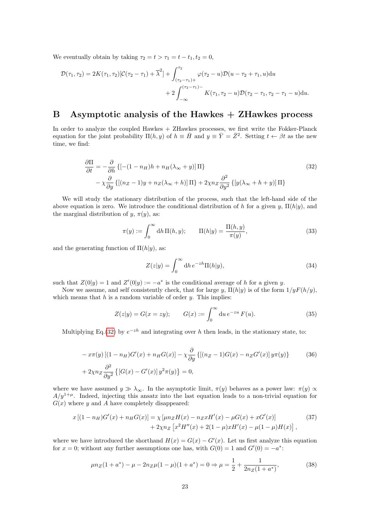We eventually obtain by taking  $\tau_2 = t > \tau_1 = t - t_1, t_2 = 0$ ,

$$
\mathcal{D}(\tau_1, \tau_2) = 2K(\tau_1, \tau_2)[\mathcal{C}(\tau_2 - \tau_1) + \overline{\lambda}^2] + \int_{(\tau_2 - \tau_1) +}^{\tau_2} \varphi(\tau_2 - u)\mathcal{D}(u - \tau_2 + \tau_1, u)du \n+ 2 \int_{-\infty}^{(\tau_2 - \tau_1) -} K(\tau_1, \tau_2 - u)\mathcal{D}(\tau_2 - \tau_1, \tau_2 - \tau_1 - u)du.
$$

# B Asymptotic analysis of the Hawkes  $+$  ZHawkes process

In order to analyze the coupled Hawkes + ZHawkes processes, we first write the Fokker-Planck equation for the joint probability  $\Pi(h, y)$  of  $h \equiv \overline{H}$  and  $y \equiv \overline{Y} = \overline{Z}^2$ . Setting  $t \leftarrow \beta t$  as the new time, we find:

$$
\frac{\partial \Pi}{\partial t} = -\frac{\partial}{\partial h} \left\{ \left[ -(1 - n_H)h + n_H(\lambda_{\infty} + y) \right] \Pi \right\}
$$
\n
$$
- \chi \frac{\partial}{\partial y} \left\{ \left[ (n_Z - 1)y + n_Z(\lambda_{\infty} + h) \right] \Pi \right\} + 2\chi n_Z \frac{\partial^2}{\partial y^2} \left\{ \left[ y(\lambda_{\infty} + h + y) \right] \Pi \right\}
$$
\n(32)

We will study the stationary distribution of the process, such that the left-hand side of the above equation is zero. We introduce the conditional distribution of h for a given y,  $\Pi(h|y)$ , and the marginal distribution of y,  $\pi(y)$ , as:

$$
\pi(y) := \int_0^\infty dh \, \Pi(h, y); \qquad \Pi(h|y) = \frac{\Pi(h, y)}{\pi(y)},\tag{33}
$$

and the generating function of  $\Pi(h|y)$ , as:

<span id="page-22-0"></span>
$$
Z(z|y) = \int_0^\infty dh \, e^{-zh} \Pi(h|y),\tag{34}
$$

such that  $Z(0|y) = 1$  and  $Z'(0|y) := -a^*$  is the conditional average of h for a given y.

Now we assume, and self consistently check, that for large y,  $\Pi(h|y)$  is of the form  $1/yF(h/y)$ , which means that  $h$  is a random variable of order  $y$ . This implies:

<span id="page-22-1"></span>
$$
Z(z|y) = G(x = zy); \t G(x) := \int_0^\infty du \, e^{-zu} \, F(u). \t (35)
$$

Multiplying Eq.[\(32\)](#page-22-0) by  $e^{-zh}$  and integrating over h then leads, in the stationary state, to:

$$
-x\pi(y)[(1-n_H)G'(x)+n_HG(x)] - \chi \frac{\partial}{\partial y} \{[(n_Z-1)G(x)-n_ZG'(x)]y\pi(y)\}
$$
(36)  
+2 $\chi nz \frac{\partial^2}{\partial y^2} \{[G(x)-G'(x)]y^2\pi(y)\}=0,$ 

where we have assumed  $y \gg \lambda_{\infty}$ . In the asymptotic limit,  $\pi(y)$  behaves as a power law:  $\pi(y) \propto$  $A/y^{1+\mu}$ . Indeed, injecting this ansatz into the last equation leads to a non-trivial equation for  $G(x)$  where y and A have completely disappeared:

$$
x\left[(1-n_H)G'(x)+n_HG(x)\right] = \chi \left[\mu n_Z H(x) - n_Z x H'(x) - \mu G(x) + xG'(x)\right] + 2\chi n_Z \left[x^2 H''(x) + 2(1-\mu)xH'(x) - \mu(1-\mu)H(x)\right],
$$
(37)

where we have introduced the shorthand  $H(x) = G(x) - G'(x)$ . Let us first analyze this equation for  $x = 0$ ; without any further assumptions one has, with  $G(0) = 1$  and  $G'(0) = -a^*$ :

$$
\mu n_Z (1 + a^*) - \mu - 2n_Z \mu (1 - \mu)(1 + a^*) = 0 \Rightarrow \mu = \frac{1}{2} + \frac{1}{2n_Z (1 + a^*)},\tag{38}
$$